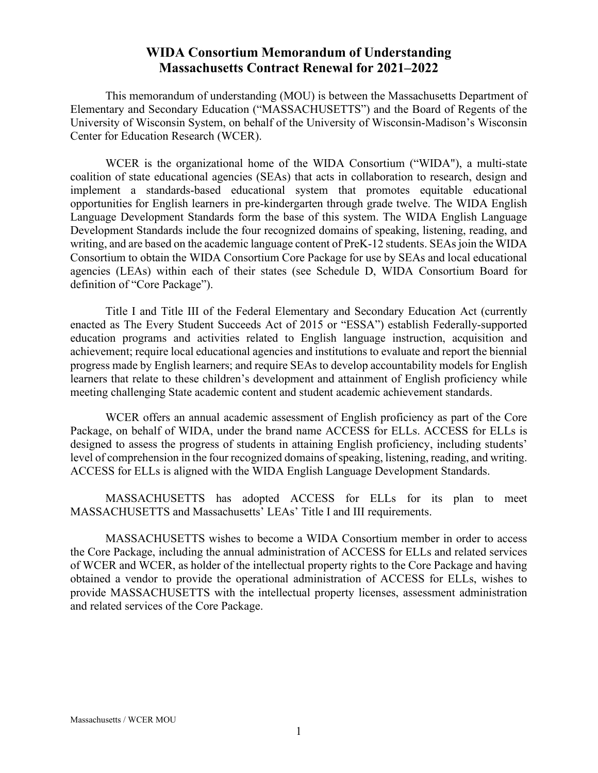# **WIDA Consortium Memorandum of Understanding Massachusetts Contract Renewal for 2021–2022**

This memorandum of understanding (MOU) is between the Massachusetts Department of Elementary and Secondary Education ("MASSACHUSETTS") and the Board of Regents of the University of Wisconsin System, on behalf of the University of Wisconsin-Madison's Wisconsin Center for Education Research (WCER).

WCER is the organizational home of the WIDA Consortium ("WIDA"), a multi-state coalition of state educational agencies (SEAs) that acts in collaboration to research, design and implement a standards-based educational system that promotes equitable educational opportunities for English learners in pre-kindergarten through grade twelve. The WIDA English Language Development Standards form the base of this system. The WIDA English Language Development Standards include the four recognized domains of speaking, listening, reading, and writing, and are based on the academic language content of PreK-12 students. SEAs join the WIDA Consortium to obtain the WIDA Consortium Core Package for use by SEAs and local educational agencies (LEAs) within each of their states (see Schedule D, WIDA Consortium Board for definition of "Core Package").

Title I and Title III of the Federal Elementary and Secondary Education Act (currently enacted as The Every Student Succeeds Act of 2015 or "ESSA") establish Federally-supported education programs and activities related to English language instruction, acquisition and achievement; require local educational agencies and institutions to evaluate and report the biennial progress made by English learners; and require SEAs to develop accountability models for English learners that relate to these children's development and attainment of English proficiency while meeting challenging State academic content and student academic achievement standards.

WCER offers an annual academic assessment of English proficiency as part of the Core Package, on behalf of WIDA, under the brand name ACCESS for ELLs. ACCESS for ELLs is designed to assess the progress of students in attaining English proficiency, including students' level of comprehension in the four recognized domains of speaking, listening, reading, and writing. ACCESS for ELLs is aligned with the WIDA English Language Development Standards.

MASSACHUSETTS has adopted ACCESS for ELLs for its plan to meet MASSACHUSETTS and Massachusetts' LEAs' Title I and III requirements.

MASSACHUSETTS wishes to become a WIDA Consortium member in order to access the Core Package, including the annual administration of ACCESS for ELLs and related services of WCER and WCER, as holder of the intellectual property rights to the Core Package and having obtained a vendor to provide the operational administration of ACCESS for ELLs, wishes to provide MASSACHUSETTS with the intellectual property licenses, assessment administration and related services of the Core Package.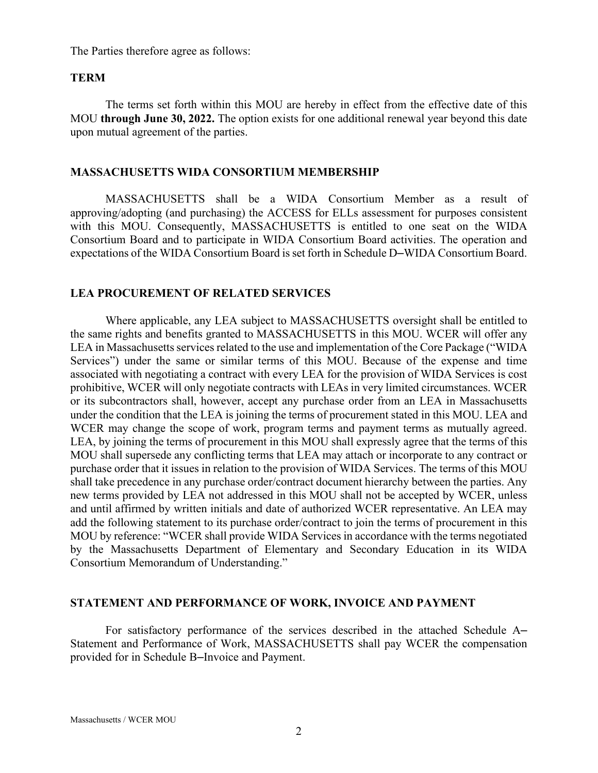The Parties therefore agree as follows:

#### **TERM**

The terms set forth within this MOU are hereby in effect from the effective date of this MOU **through June 30, 2022.** The option exists for one additional renewal year beyond this date upon mutual agreement of the parties.

### **MASSACHUSETTS WIDA CONSORTIUM MEMBERSHIP**

MASSACHUSETTS shall be a WIDA Consortium Member as a result of approving/adopting (and purchasing) the ACCESS for ELLs assessment for purposes consistent with this MOU. Consequently, MASSACHUSETTS is entitled to one seat on the WIDA Consortium Board and to participate in WIDA Consortium Board activities. The operation and expectations of the WIDA Consortium Board is set forth in Schedule D–WIDA Consortium Board.

#### **LEA PROCUREMENT OF RELATED SERVICES**

Where applicable, any LEA subject to MASSACHUSETTS oversight shall be entitled to the same rights and benefits granted to MASSACHUSETTS in this MOU. WCER will offer any LEA in Massachusetts services related to the use and implementation of the Core Package ("WIDA" Services") under the same or similar terms of this MOU. Because of the expense and time associated with negotiating a contract with every LEA for the provision of WIDA Services is cost prohibitive, WCER will only negotiate contracts with LEAs in very limited circumstances. WCER or its subcontractors shall, however, accept any purchase order from an LEA in Massachusetts under the condition that the LEA is joining the terms of procurement stated in this MOU. LEA and WCER may change the scope of work, program terms and payment terms as mutually agreed. LEA, by joining the terms of procurement in this MOU shall expressly agree that the terms of this MOU shall supersede any conflicting terms that LEA may attach or incorporate to any contract or purchase order that it issues in relation to the provision of WIDA Services. The terms of this MOU shall take precedence in any purchase order/contract document hierarchy between the parties. Any new terms provided by LEA not addressed in this MOU shall not be accepted by WCER, unless and until affirmed by written initials and date of authorized WCER representative. An LEA may add the following statement to its purchase order/contract to join the terms of procurement in this MOU by reference: "WCER shall provide WIDA Services in accordance with the terms negotiated by the Massachusetts Department of Elementary and Secondary Education in its WIDA Consortium Memorandum of Understanding."

### **STATEMENT AND PERFORMANCE OF WORK, INVOICE AND PAYMENT**

For satisfactory performance of the services described in the attached Schedule A– Statement and Performance of Work, MASSACHUSETTS shall pay WCER the compensation provided for in Schedule B‒Invoice and Payment.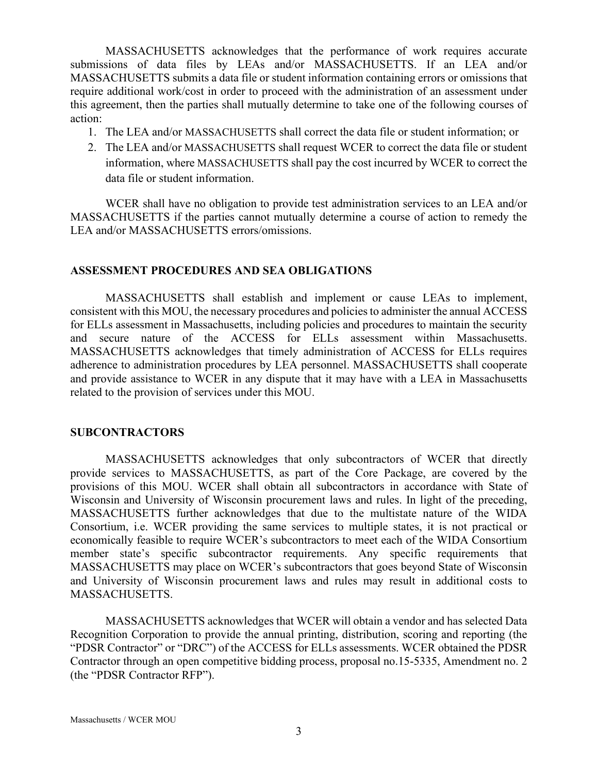MASSACHUSETTS acknowledges that the performance of work requires accurate submissions of data files by LEAs and/or MASSACHUSETTS. If an LEA and/or MASSACHUSETTS submits a data file or student information containing errors or omissions that require additional work/cost in order to proceed with the administration of an assessment under this agreement, then the parties shall mutually determine to take one of the following courses of action:

- 1. The LEA and/or MASSACHUSETTS shall correct the data file or student information; or
- 2. The LEA and/or MASSACHUSETTS shall request WCER to correct the data file or student information, where MASSACHUSETTS shall pay the cost incurred by WCER to correct the data file or student information.

WCER shall have no obligation to provide test administration services to an LEA and/or MASSACHUSETTS if the parties cannot mutually determine a course of action to remedy the LEA and/or MASSACHUSETTS errors/omissions.

### **ASSESSMENT PROCEDURES AND SEA OBLIGATIONS**

MASSACHUSETTS shall establish and implement or cause LEAs to implement, consistent with this MOU, the necessary procedures and policies to administer the annual ACCESS for ELLs assessment in Massachusetts, including policies and procedures to maintain the security and secure nature of the ACCESS for ELLs assessment within Massachusetts. MASSACHUSETTS acknowledges that timely administration of ACCESS for ELLs requires adherence to administration procedures by LEA personnel. MASSACHUSETTS shall cooperate and provide assistance to WCER in any dispute that it may have with a LEA in Massachusetts related to the provision of services under this MOU.

### **SUBCONTRACTORS**

MASSACHUSETTS acknowledges that only subcontractors of WCER that directly provide services to MASSACHUSETTS, as part of the Core Package, are covered by the provisions of this MOU. WCER shall obtain all subcontractors in accordance with State of Wisconsin and University of Wisconsin procurement laws and rules. In light of the preceding, MASSACHUSETTS further acknowledges that due to the multistate nature of the WIDA Consortium, i.e. WCER providing the same services to multiple states, it is not practical or economically feasible to require WCER's subcontractors to meet each of the WIDA Consortium member state's specific subcontractor requirements. Any specific requirements that MASSACHUSETTS may place on WCER's subcontractors that goes beyond State of Wisconsin and University of Wisconsin procurement laws and rules may result in additional costs to MASSACHUSETTS.

MASSACHUSETTS acknowledges that WCER will obtain a vendor and has selected Data Recognition Corporation to provide the annual printing, distribution, scoring and reporting (the "PDSR Contractor" or "DRC") of the ACCESS for ELLs assessments. WCER obtained the PDSR Contractor through an open competitive bidding process, proposal no.15-5335, Amendment no. 2 (the "PDSR Contractor RFP").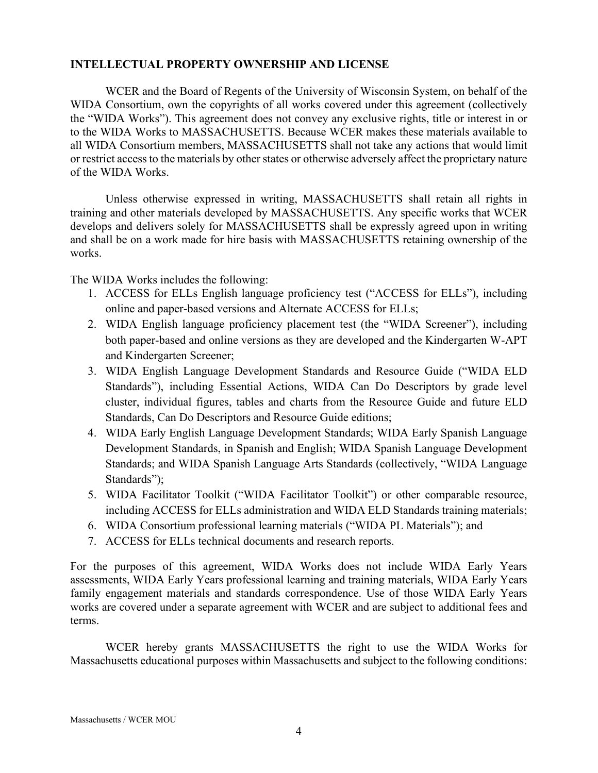### **INTELLECTUAL PROPERTY OWNERSHIP AND LICENSE**

WCER and the Board of Regents of the University of Wisconsin System, on behalf of the WIDA Consortium, own the copyrights of all works covered under this agreement (collectively the "WIDA Works"). This agreement does not convey any exclusive rights, title or interest in or to the WIDA Works to MASSACHUSETTS. Because WCER makes these materials available to all WIDA Consortium members, MASSACHUSETTS shall not take any actions that would limit or restrict access to the materials by other states or otherwise adversely affect the proprietary nature of the WIDA Works.

Unless otherwise expressed in writing, MASSACHUSETTS shall retain all rights in training and other materials developed by MASSACHUSETTS. Any specific works that WCER develops and delivers solely for MASSACHUSETTS shall be expressly agreed upon in writing and shall be on a work made for hire basis with MASSACHUSETTS retaining ownership of the works.

The WIDA Works includes the following:

- 1. ACCESS for ELLs English language proficiency test ("ACCESS for ELLs"), including online and paper-based versions and Alternate ACCESS for ELLs;
- 2. WIDA English language proficiency placement test (the "WIDA Screener"), including both paper-based and online versions as they are developed and the Kindergarten W-APT and Kindergarten Screener;
- 3. WIDA English Language Development Standards and Resource Guide ("WIDA ELD Standards"), including Essential Actions, WIDA Can Do Descriptors by grade level cluster, individual figures, tables and charts from the Resource Guide and future ELD Standards, Can Do Descriptors and Resource Guide editions;
- 4. WIDA Early English Language Development Standards; WIDA Early Spanish Language Development Standards, in Spanish and English; WIDA Spanish Language Development Standards; and WIDA Spanish Language Arts Standards (collectively, "WIDA Language Standards");
- 5. WIDA Facilitator Toolkit ("WIDA Facilitator Toolkit") or other comparable resource, including ACCESS for ELLs administration and WIDA ELD Standards training materials;
- 6. WIDA Consortium professional learning materials ("WIDA PL Materials"); and
- 7. ACCESS for ELLs technical documents and research reports.

For the purposes of this agreement, WIDA Works does not include WIDA Early Years assessments, WIDA Early Years professional learning and training materials, WIDA Early Years family engagement materials and standards correspondence. Use of those WIDA Early Years works are covered under a separate agreement with WCER and are subject to additional fees and terms.

WCER hereby grants MASSACHUSETTS the right to use the WIDA Works for Massachusetts educational purposes within Massachusetts and subject to the following conditions: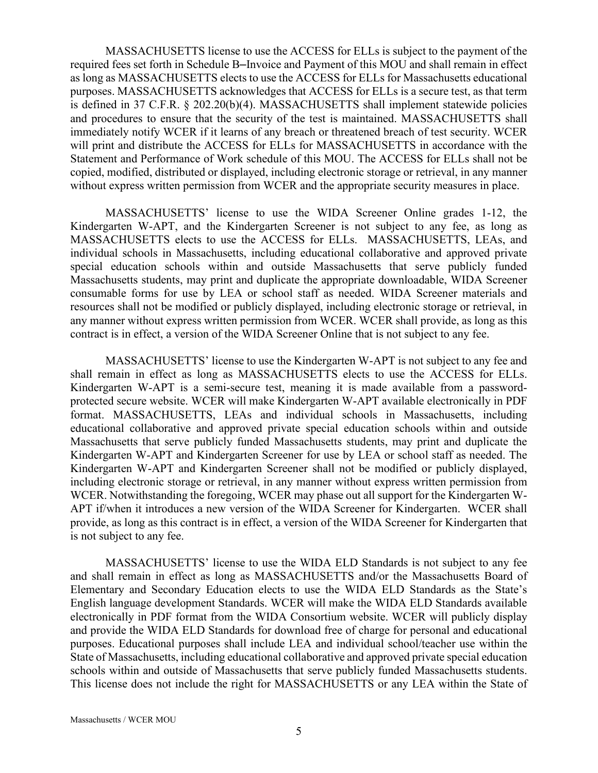MASSACHUSETTS license to use the ACCESS for ELLs is subject to the payment of the required fees set forth in Schedule B-Invoice and Payment of this MOU and shall remain in effect as long as MASSACHUSETTS elects to use the ACCESS for ELLs for Massachusetts educational purposes. MASSACHUSETTS acknowledges that ACCESS for ELLs is a secure test, as that term is defined in 37 C.F.R. § 202.20(b)(4). MASSACHUSETTS shall implement statewide policies and procedures to ensure that the security of the test is maintained. MASSACHUSETTS shall immediately notify WCER if it learns of any breach or threatened breach of test security. WCER will print and distribute the ACCESS for ELLs for MASSACHUSETTS in accordance with the Statement and Performance of Work schedule of this MOU. The ACCESS for ELLs shall not be copied, modified, distributed or displayed, including electronic storage or retrieval, in any manner without express written permission from WCER and the appropriate security measures in place.

MASSACHUSETTS' license to use the WIDA Screener Online grades 1-12, the Kindergarten W-APT, and the Kindergarten Screener is not subject to any fee, as long as MASSACHUSETTS elects to use the ACCESS for ELLs. MASSACHUSETTS, LEAs, and individual schools in Massachusetts, including educational collaborative and approved private special education schools within and outside Massachusetts that serve publicly funded Massachusetts students, may print and duplicate the appropriate downloadable, WIDA Screener consumable forms for use by LEA or school staff as needed. WIDA Screener materials and resources shall not be modified or publicly displayed, including electronic storage or retrieval, in any manner without express written permission from WCER. WCER shall provide, as long as this contract is in effect, a version of the WIDA Screener Online that is not subject to any fee.

MASSACHUSETTS' license to use the Kindergarten W-APT is not subject to any fee and shall remain in effect as long as MASSACHUSETTS elects to use the ACCESS for ELLs. Kindergarten W-APT is a semi-secure test, meaning it is made available from a passwordprotected secure website. WCER will make Kindergarten W-APT available electronically in PDF format. MASSACHUSETTS, LEAs and individual schools in Massachusetts, including educational collaborative and approved private special education schools within and outside Massachusetts that serve publicly funded Massachusetts students, may print and duplicate the Kindergarten W-APT and Kindergarten Screener for use by LEA or school staff as needed. The Kindergarten W-APT and Kindergarten Screener shall not be modified or publicly displayed, including electronic storage or retrieval, in any manner without express written permission from WCER. Notwithstanding the foregoing, WCER may phase out all support for the Kindergarten W-APT if/when it introduces a new version of the WIDA Screener for Kindergarten. WCER shall provide, as long as this contract is in effect, a version of the WIDA Screener for Kindergarten that is not subject to any fee.

MASSACHUSETTS' license to use the WIDA ELD Standards is not subject to any fee and shall remain in effect as long as MASSACHUSETTS and/or the Massachusetts Board of Elementary and Secondary Education elects to use the WIDA ELD Standards as the State's English language development Standards. WCER will make the WIDA ELD Standards available electronically in PDF format from the WIDA Consortium website. WCER will publicly display and provide the WIDA ELD Standards for download free of charge for personal and educational purposes. Educational purposes shall include LEA and individual school/teacher use within the State of Massachusetts, including educational collaborative and approved private special education schools within and outside of Massachusetts that serve publicly funded Massachusetts students. This license does not include the right for MASSACHUSETTS or any LEA within the State of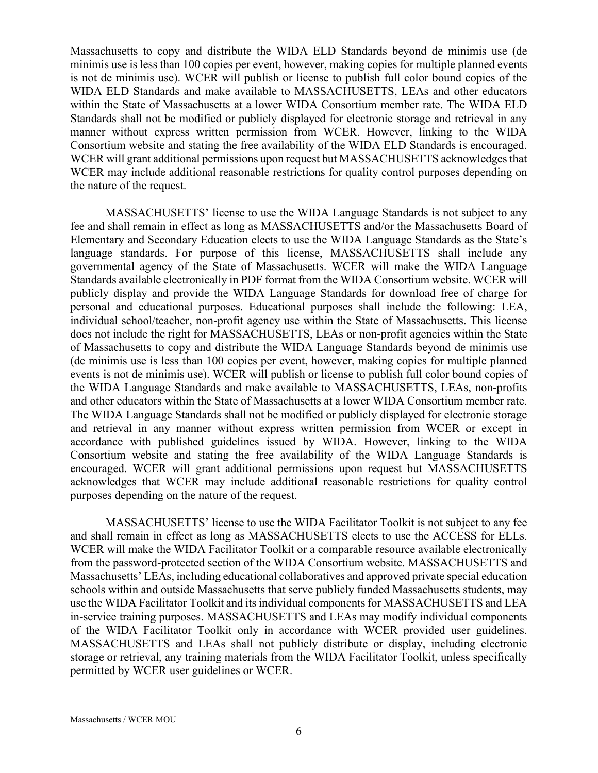Massachusetts to copy and distribute the WIDA ELD Standards beyond de minimis use (de minimis use is less than 100 copies per event, however, making copies for multiple planned events is not de minimis use). WCER will publish or license to publish full color bound copies of the WIDA ELD Standards and make available to MASSACHUSETTS, LEAs and other educators within the State of Massachusetts at a lower WIDA Consortium member rate. The WIDA ELD Standards shall not be modified or publicly displayed for electronic storage and retrieval in any manner without express written permission from WCER. However, linking to the WIDA Consortium website and stating the free availability of the WIDA ELD Standards is encouraged. WCER will grant additional permissions upon request but MASSACHUSETTS acknowledges that WCER may include additional reasonable restrictions for quality control purposes depending on the nature of the request.

MASSACHUSETTS' license to use the WIDA Language Standards is not subject to any fee and shall remain in effect as long as MASSACHUSETTS and/or the Massachusetts Board of Elementary and Secondary Education elects to use the WIDA Language Standards as the State's language standards. For purpose of this license, MASSACHUSETTS shall include any governmental agency of the State of Massachusetts. WCER will make the WIDA Language Standards available electronically in PDF format from the WIDA Consortium website. WCER will publicly display and provide the WIDA Language Standards for download free of charge for personal and educational purposes. Educational purposes shall include the following: LEA, individual school/teacher, non-profit agency use within the State of Massachusetts. This license does not include the right for MASSACHUSETTS, LEAs or non-profit agencies within the State of Massachusetts to copy and distribute the WIDA Language Standards beyond de minimis use (de minimis use is less than 100 copies per event, however, making copies for multiple planned events is not de minimis use). WCER will publish or license to publish full color bound copies of the WIDA Language Standards and make available to MASSACHUSETTS, LEAs, non-profits and other educators within the State of Massachusetts at a lower WIDA Consortium member rate. The WIDA Language Standards shall not be modified or publicly displayed for electronic storage and retrieval in any manner without express written permission from WCER or except in accordance with published guidelines issued by WIDA. However, linking to the WIDA Consortium website and stating the free availability of the WIDA Language Standards is encouraged. WCER will grant additional permissions upon request but MASSACHUSETTS acknowledges that WCER may include additional reasonable restrictions for quality control purposes depending on the nature of the request.

MASSACHUSETTS' license to use the WIDA Facilitator Toolkit is not subject to any fee and shall remain in effect as long as MASSACHUSETTS elects to use the ACCESS for ELLs. WCER will make the WIDA Facilitator Toolkit or a comparable resource available electronically from the password-protected section of the WIDA Consortium website. MASSACHUSETTS and Massachusetts' LEAs, including educational collaboratives and approved private special education schools within and outside Massachusetts that serve publicly funded Massachusetts students, may use the WIDA Facilitator Toolkit and its individual components for MASSACHUSETTS and LEA in-service training purposes. MASSACHUSETTS and LEAs may modify individual components of the WIDA Facilitator Toolkit only in accordance with WCER provided user guidelines. MASSACHUSETTS and LEAs shall not publicly distribute or display, including electronic storage or retrieval, any training materials from the WIDA Facilitator Toolkit, unless specifically permitted by WCER user guidelines or WCER.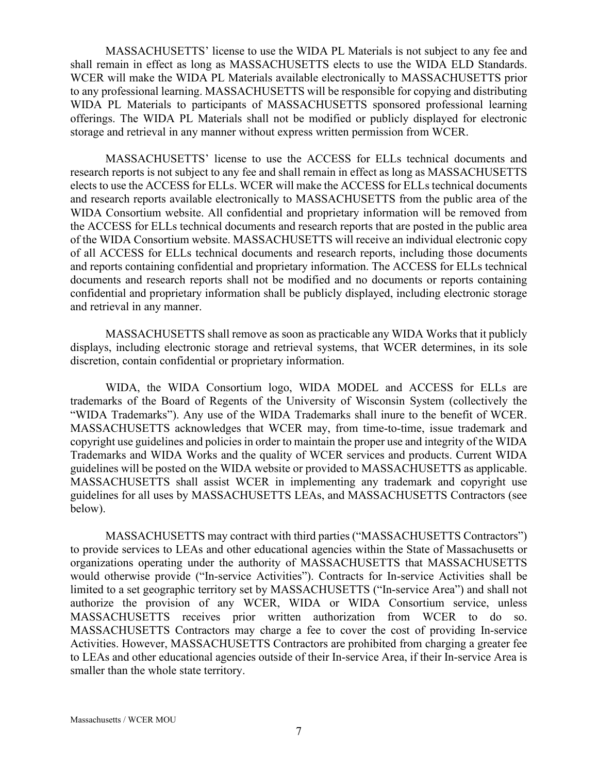MASSACHUSETTS' license to use the WIDA PL Materials is not subject to any fee and shall remain in effect as long as MASSACHUSETTS elects to use the WIDA ELD Standards. WCER will make the WIDA PL Materials available electronically to MASSACHUSETTS prior to any professional learning. MASSACHUSETTS will be responsible for copying and distributing WIDA PL Materials to participants of MASSACHUSETTS sponsored professional learning offerings. The WIDA PL Materials shall not be modified or publicly displayed for electronic storage and retrieval in any manner without express written permission from WCER.

MASSACHUSETTS' license to use the ACCESS for ELLs technical documents and research reports is not subject to any fee and shall remain in effect as long as MASSACHUSETTS elects to use the ACCESS for ELLs. WCER will make the ACCESS for ELLs technical documents and research reports available electronically to MASSACHUSETTS from the public area of the WIDA Consortium website. All confidential and proprietary information will be removed from the ACCESS for ELLs technical documents and research reports that are posted in the public area of the WIDA Consortium website. MASSACHUSETTS will receive an individual electronic copy of all ACCESS for ELLs technical documents and research reports, including those documents and reports containing confidential and proprietary information. The ACCESS for ELLs technical documents and research reports shall not be modified and no documents or reports containing confidential and proprietary information shall be publicly displayed, including electronic storage and retrieval in any manner.

MASSACHUSETTS shall remove as soon as practicable any WIDA Works that it publicly displays, including electronic storage and retrieval systems, that WCER determines, in its sole discretion, contain confidential or proprietary information.

WIDA, the WIDA Consortium logo, WIDA MODEL and ACCESS for ELLs are trademarks of the Board of Regents of the University of Wisconsin System (collectively the "WIDA Trademarks"). Any use of the WIDA Trademarks shall inure to the benefit of WCER. MASSACHUSETTS acknowledges that WCER may, from time-to-time, issue trademark and copyright use guidelines and policies in order to maintain the proper use and integrity of the WIDA Trademarks and WIDA Works and the quality of WCER services and products. Current WIDA guidelines will be posted on the WIDA website or provided to MASSACHUSETTS as applicable. MASSACHUSETTS shall assist WCER in implementing any trademark and copyright use guidelines for all uses by MASSACHUSETTS LEAs, and MASSACHUSETTS Contractors (see below).

MASSACHUSETTS may contract with third parties ("MASSACHUSETTS Contractors") to provide services to LEAs and other educational agencies within the State of Massachusetts or organizations operating under the authority of MASSACHUSETTS that MASSACHUSETTS would otherwise provide ("In-service Activities"). Contracts for In-service Activities shall be limited to a set geographic territory set by MASSACHUSETTS ("In-service Area") and shall not authorize the provision of any WCER, WIDA or WIDA Consortium service, unless MASSACHUSETTS receives prior written authorization from WCER to do so. MASSACHUSETTS Contractors may charge a fee to cover the cost of providing In-service Activities. However, MASSACHUSETTS Contractors are prohibited from charging a greater fee to LEAs and other educational agencies outside of their In-service Area, if their In-service Area is smaller than the whole state territory.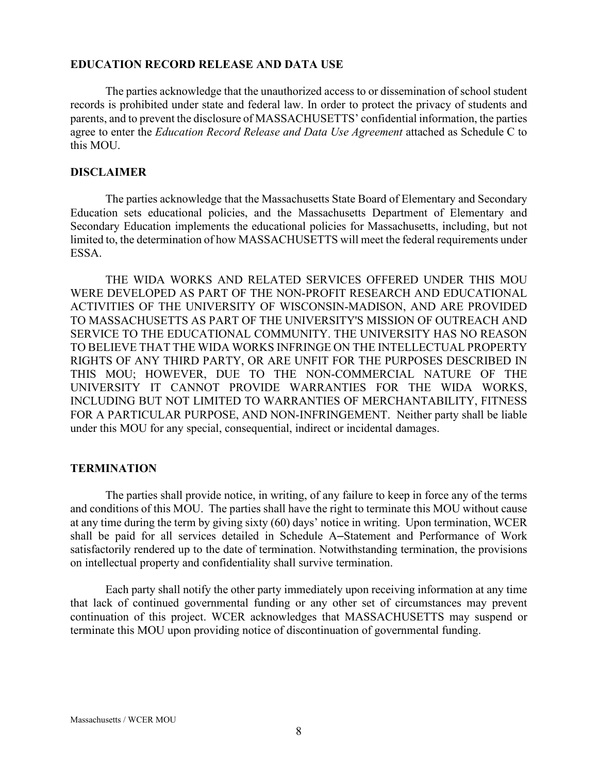### **EDUCATION RECORD RELEASE AND DATA USE**

The parties acknowledge that the unauthorized access to or dissemination of school student records is prohibited under state and federal law. In order to protect the privacy of students and parents, and to prevent the disclosure of MASSACHUSETTS' confidential information, the parties agree to enter the *Education Record Release and Data Use Agreement* attached as Schedule C to this MOU.

### **DISCLAIMER**

The parties acknowledge that the Massachusetts State Board of Elementary and Secondary Education sets educational policies, and the Massachusetts Department of Elementary and Secondary Education implements the educational policies for Massachusetts, including, but not limited to, the determination of how MASSACHUSETTS will meet the federal requirements under ESSA.

THE WIDA WORKS AND RELATED SERVICES OFFERED UNDER THIS MOU WERE DEVELOPED AS PART OF THE NON-PROFIT RESEARCH AND EDUCATIONAL ACTIVITIES OF THE UNIVERSITY OF WISCONSIN-MADISON, AND ARE PROVIDED TO MASSACHUSETTS AS PART OF THE UNIVERSITY'S MISSION OF OUTREACH AND SERVICE TO THE EDUCATIONAL COMMUNITY. THE UNIVERSITY HAS NO REASON TO BELIEVE THAT THE WIDA WORKS INFRINGE ON THE INTELLECTUAL PROPERTY RIGHTS OF ANY THIRD PARTY, OR ARE UNFIT FOR THE PURPOSES DESCRIBED IN THIS MOU; HOWEVER, DUE TO THE NON-COMMERCIAL NATURE OF THE UNIVERSITY IT CANNOT PROVIDE WARRANTIES FOR THE WIDA WORKS, INCLUDING BUT NOT LIMITED TO WARRANTIES OF MERCHANTABILITY, FITNESS FOR A PARTICULAR PURPOSE, AND NON-INFRINGEMENT. Neither party shall be liable under this MOU for any special, consequential, indirect or incidental damages.

### **TERMINATION**

The parties shall provide notice, in writing, of any failure to keep in force any of the terms and conditions of this MOU. The parties shall have the right to terminate this MOU without cause at any time during the term by giving sixty (60) days' notice in writing. Upon termination, WCER shall be paid for all services detailed in Schedule A-Statement and Performance of Work satisfactorily rendered up to the date of termination. Notwithstanding termination, the provisions on intellectual property and confidentiality shall survive termination.

Each party shall notify the other party immediately upon receiving information at any time that lack of continued governmental funding or any other set of circumstances may prevent continuation of this project. WCER acknowledges that MASSACHUSETTS may suspend or terminate this MOU upon providing notice of discontinuation of governmental funding.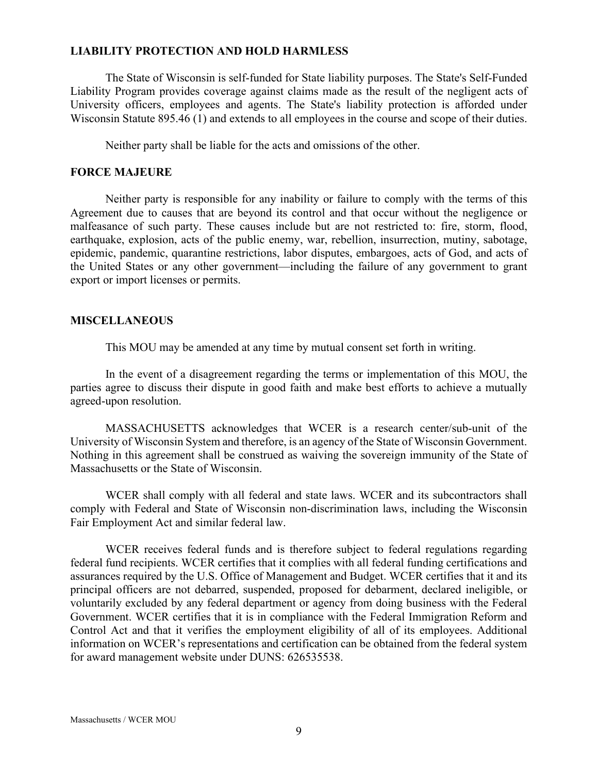### **LIABILITY PROTECTION AND HOLD HARMLESS**

The State of Wisconsin is self-funded for State liability purposes. The State's Self-Funded Liability Program provides coverage against claims made as the result of the negligent acts of University officers, employees and agents. The State's liability protection is afforded under Wisconsin Statute 895.46 (1) and extends to all employees in the course and scope of their duties.

Neither party shall be liable for the acts and omissions of the other.

### **FORCE MAJEURE**

Neither party is responsible for any inability or failure to comply with the terms of this Agreement due to causes that are beyond its control and that occur without the negligence or malfeasance of such party. These causes include but are not restricted to: fire, storm, flood, earthquake, explosion, acts of the public enemy, war, rebellion, insurrection, mutiny, sabotage, epidemic, pandemic, quarantine restrictions, labor disputes, embargoes, acts of God, and acts of the United States or any other government—including the failure of any government to grant export or import licenses or permits.

### **MISCELLANEOUS**

This MOU may be amended at any time by mutual consent set forth in writing.

In the event of a disagreement regarding the terms or implementation of this MOU, the parties agree to discuss their dispute in good faith and make best efforts to achieve a mutually agreed-upon resolution.

MASSACHUSETTS acknowledges that WCER is a research center/sub-unit of the University of Wisconsin System and therefore, is an agency of the State of Wisconsin Government. Nothing in this agreement shall be construed as waiving the sovereign immunity of the State of Massachusetts or the State of Wisconsin.

WCER shall comply with all federal and state laws. WCER and its subcontractors shall comply with Federal and State of Wisconsin non-discrimination laws, including the Wisconsin Fair Employment Act and similar federal law.

WCER receives federal funds and is therefore subject to federal regulations regarding federal fund recipients. WCER certifies that it complies with all federal funding certifications and assurances required by the U.S. Office of Management and Budget. WCER certifies that it and its principal officers are not debarred, suspended, proposed for debarment, declared ineligible, or voluntarily excluded by any federal department or agency from doing business with the Federal Government. WCER certifies that it is in compliance with the Federal Immigration Reform and Control Act and that it verifies the employment eligibility of all of its employees. Additional information on WCER's representations and certification can be obtained from the federal system for award management website under DUNS: 626535538.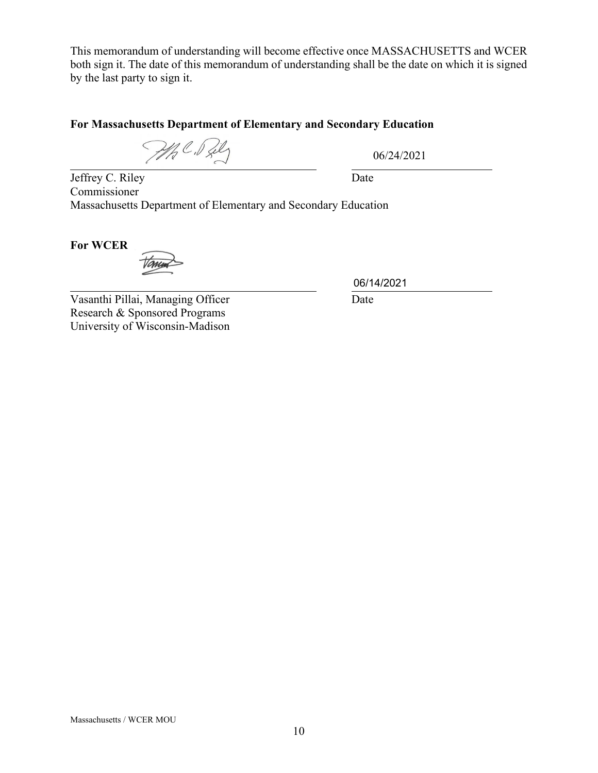This memorandum of understanding will become effective once MASSACHUSETTS and WCER both sign it. The date of this memorandum of understanding shall be the date on which it is signed by the last party to sign it.

# **For Massachusetts Department of Elementary and Secondary Education**

MAC. Pily

06/24/2021

Jeffrey C. Riley Date Commissioner Massachusetts Department of Elementary and Secondary Education

**For WCER**

Vasanthi Pillai, Managing Officer Date Research & Sponsored Programs University of Wisconsin-Madison

06/14/2021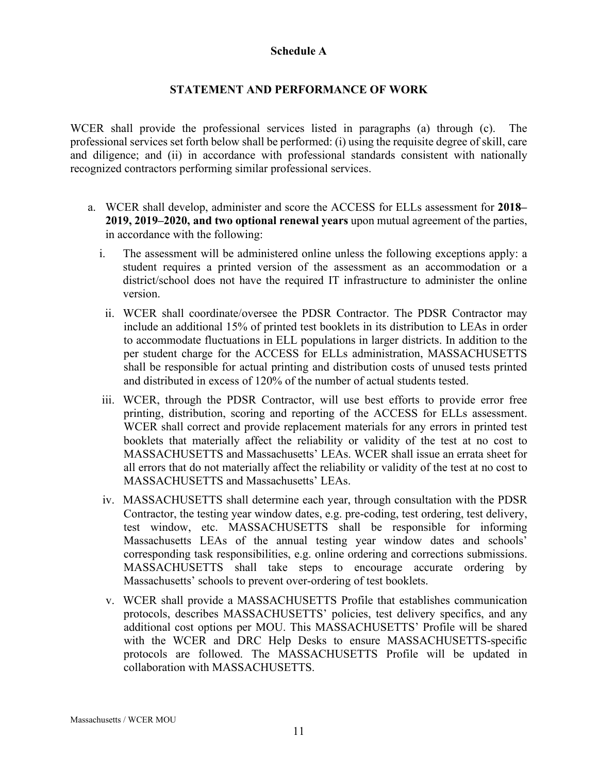### **Schedule A**

### **STATEMENT AND PERFORMANCE OF WORK**

WCER shall provide the professional services listed in paragraphs (a) through (c). The professional services set forth below shall be performed: (i) using the requisite degree of skill, care and diligence; and (ii) in accordance with professional standards consistent with nationally recognized contractors performing similar professional services.

- a. WCER shall develop, administer and score the ACCESS for ELLs assessment for 2018– **2019, 2019‒2020, and two optional renewal years** upon mutual agreement of the parties, in accordance with the following:
	- i. The assessment will be administered online unless the following exceptions apply: a student requires a printed version of the assessment as an accommodation or a district/school does not have the required IT infrastructure to administer the online version.
	- ii. WCER shall coordinate/oversee the PDSR Contractor. The PDSR Contractor may include an additional 15% of printed test booklets in its distribution to LEAs in order to accommodate fluctuations in ELL populations in larger districts. In addition to the per student charge for the ACCESS for ELLs administration, MASSACHUSETTS shall be responsible for actual printing and distribution costs of unused tests printed and distributed in excess of 120% of the number of actual students tested.
	- iii. WCER, through the PDSR Contractor, will use best efforts to provide error free printing, distribution, scoring and reporting of the ACCESS for ELLs assessment. WCER shall correct and provide replacement materials for any errors in printed test booklets that materially affect the reliability or validity of the test at no cost to MASSACHUSETTS and Massachusetts' LEAs. WCER shall issue an errata sheet for all errors that do not materially affect the reliability or validity of the test at no cost to MASSACHUSETTS and Massachusetts' LEAs.
	- iv. MASSACHUSETTS shall determine each year, through consultation with the PDSR Contractor, the testing year window dates, e.g. pre-coding, test ordering, test delivery, test window, etc. MASSACHUSETTS shall be responsible for informing Massachusetts LEAs of the annual testing year window dates and schools' corresponding task responsibilities, e.g. online ordering and corrections submissions. MASSACHUSETTS shall take steps to encourage accurate ordering by Massachusetts' schools to prevent over-ordering of test booklets.
	- v. WCER shall provide a MASSACHUSETTS Profile that establishes communication protocols, describes MASSACHUSETTS' policies, test delivery specifics, and any additional cost options per MOU. This MASSACHUSETTS' Profile will be shared with the WCER and DRC Help Desks to ensure MASSACHUSETTS-specific protocols are followed. The MASSACHUSETTS Profile will be updated in collaboration with MASSACHUSETTS.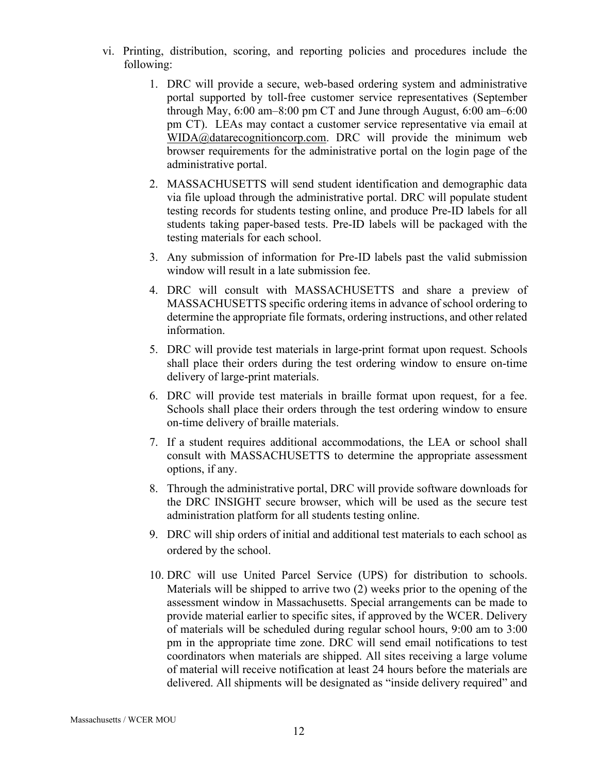- vi. Printing, distribution, scoring, and reporting policies and procedures include the following:
	- 1. DRC will provide a secure, web-based ordering system and administrative portal supported by toll-free customer service representatives (September through May, 6:00 am–8:00 pm CT and June through August, 6:00 am–6:00 pm CT). LEAs may contact a customer service representative via email at WIDA@datarecognitioncorp.com. DRC will provide the minimum web browser requirements for the administrative portal on the login page of the administrative portal.
	- 2. MASSACHUSETTS will send student identification and demographic data via file upload through the administrative portal. DRC will populate student testing records for students testing online, and produce Pre-ID labels for all students taking paper-based tests. Pre-ID labels will be packaged with the testing materials for each school.
	- 3. Any submission of information for Pre-ID labels past the valid submission window will result in a late submission fee.
	- 4. DRC will consult with MASSACHUSETTS and share a preview of MASSACHUSETTS specific ordering items in advance of school ordering to determine the appropriate file formats, ordering instructions, and other related information.
	- 5. DRC will provide test materials in large-print format upon request. Schools shall place their orders during the test ordering window to ensure on-time delivery of large-print materials.
	- 6. DRC will provide test materials in braille format upon request, for a fee. Schools shall place their orders through the test ordering window to ensure on-time delivery of braille materials.
	- 7. If a student requires additional accommodations, the LEA or school shall consult with MASSACHUSETTS to determine the appropriate assessment options, if any.
	- 8. Through the administrative portal, DRC will provide software downloads for the DRC INSIGHT secure browser, which will be used as the secure test administration platform for all students testing online.
	- 9. DRC will ship orders of initial and additional test materials to each school as ordered by the school.
	- 10. DRC will use United Parcel Service (UPS) for distribution to schools. Materials will be shipped to arrive two (2) weeks prior to the opening of the assessment window in Massachusetts. Special arrangements can be made to provide material earlier to specific sites, if approved by the WCER. Delivery of materials will be scheduled during regular school hours, 9:00 am to 3:00 pm in the appropriate time zone. DRC will send email notifications to test coordinators when materials are shipped. All sites receiving a large volume of material will receive notification at least 24 hours before the materials are delivered. All shipments will be designated as "inside delivery required" and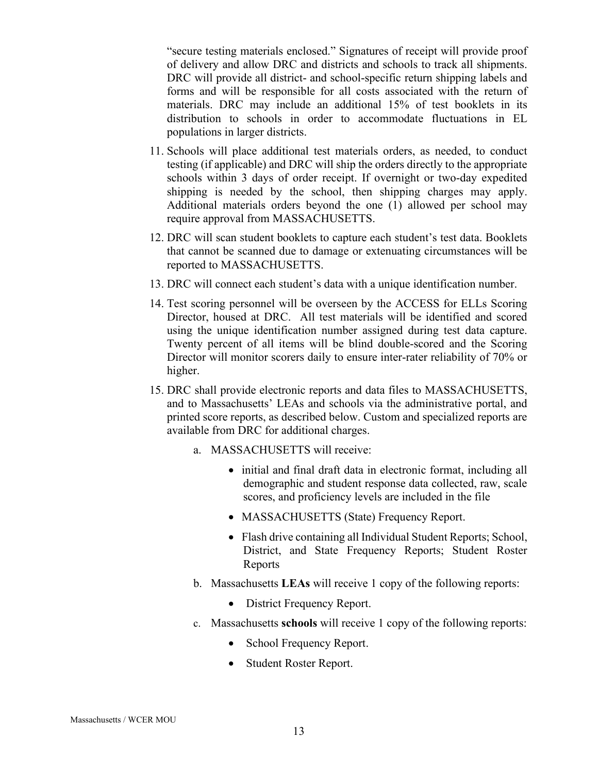"secure testing materials enclosed." Signatures of receipt will provide proof of delivery and allow DRC and districts and schools to track all shipments. DRC will provide all district- and school-specific return shipping labels and forms and will be responsible for all costs associated with the return of materials. DRC may include an additional 15% of test booklets in its distribution to schools in order to accommodate fluctuations in EL populations in larger districts.

- 11. Schools will place additional test materials orders, as needed, to conduct testing (if applicable) and DRC will ship the orders directly to the appropriate schools within 3 days of order receipt. If overnight or two-day expedited shipping is needed by the school, then shipping charges may apply. Additional materials orders beyond the one (1) allowed per school may require approval from MASSACHUSETTS.
- 12. DRC will scan student booklets to capture each student's test data. Booklets that cannot be scanned due to damage or extenuating circumstances will be reported to MASSACHUSETTS.
- 13. DRC will connect each student's data with a unique identification number.
- 14. Test scoring personnel will be overseen by the ACCESS for ELLs Scoring Director, housed at DRC. All test materials will be identified and scored using the unique identification number assigned during test data capture. Twenty percent of all items will be blind double-scored and the Scoring Director will monitor scorers daily to ensure inter-rater reliability of 70% or higher.
- 15. DRC shall provide electronic reports and data files to MASSACHUSETTS, and to Massachusetts' LEAs and schools via the administrative portal, and printed score reports, as described below. Custom and specialized reports are available from DRC for additional charges.
	- a. MASSACHUSETTS will receive:
		- initial and final draft data in electronic format, including all demographic and student response data collected, raw, scale scores, and proficiency levels are included in the file
		- MASSACHUSETTS (State) Frequency Report.
		- Flash drive containing all Individual Student Reports; School, District, and State Frequency Reports; Student Roster Reports
	- b. Massachusetts **LEAs** will receive 1 copy of the following reports:
		- District Frequency Report.
	- c. Massachusetts **schools** will receive 1 copy of the following reports:
		- School Frequency Report.
		- Student Roster Report.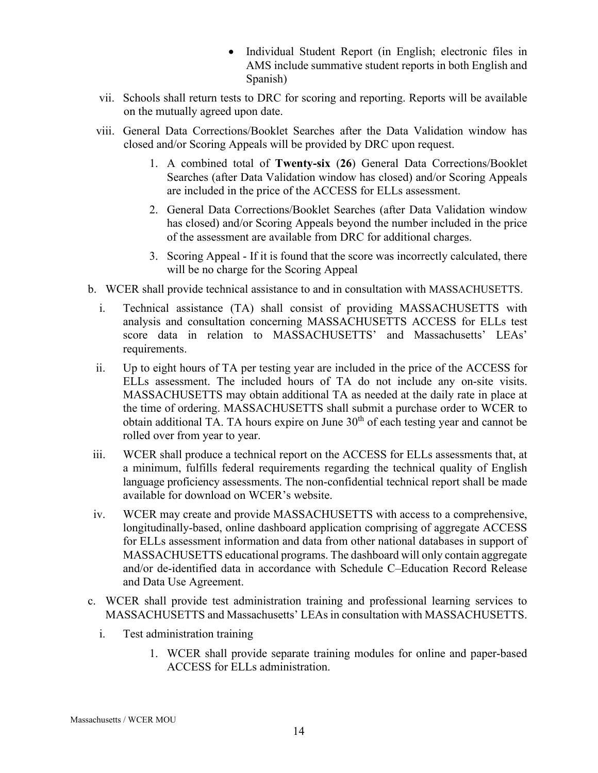- Individual Student Report (in English; electronic files in AMS include summative student reports in both English and Spanish)
- vii. Schools shall return tests to DRC for scoring and reporting. Reports will be available on the mutually agreed upon date.
- viii. General Data Corrections/Booklet Searches after the Data Validation window has closed and/or Scoring Appeals will be provided by DRC upon request.
	- 1. A combined total of **Twenty-six** (**26**) General Data Corrections/Booklet Searches (after Data Validation window has closed) and/or Scoring Appeals are included in the price of the ACCESS for ELLs assessment.
	- 2. General Data Corrections/Booklet Searches (after Data Validation window has closed) and/or Scoring Appeals beyond the number included in the price of the assessment are available from DRC for additional charges.
	- 3. Scoring Appeal If it is found that the score was incorrectly calculated, there will be no charge for the Scoring Appeal
- b. WCER shall provide technical assistance to and in consultation with MASSACHUSETTS.
	- i. Technical assistance (TA) shall consist of providing MASSACHUSETTS with analysis and consultation concerning MASSACHUSETTS ACCESS for ELLs test score data in relation to MASSACHUSETTS' and Massachusetts' LEAs' requirements.
	- ii. Up to eight hours of TA per testing year are included in the price of the ACCESS for ELLs assessment. The included hours of TA do not include any on-site visits. MASSACHUSETTS may obtain additional TA as needed at the daily rate in place at the time of ordering. MASSACHUSETTS shall submit a purchase order to WCER to obtain additional TA. TA hours expire on June  $30<sup>th</sup>$  of each testing year and cannot be rolled over from year to year.
- iii. WCER shall produce a technical report on the ACCESS for ELLs assessments that, at a minimum, fulfills federal requirements regarding the technical quality of English language proficiency assessments. The non-confidential technical report shall be made available for download on WCER's website.
- iv. WCER may create and provide MASSACHUSETTS with access to a comprehensive, longitudinally-based, online dashboard application comprising of aggregate ACCESS for ELLs assessment information and data from other national databases in support of MASSACHUSETTS educational programs. The dashboard will only contain aggregate and/or de-identified data in accordance with Schedule C–Education Record Release and Data Use Agreement.
- c. WCER shall provide test administration training and professional learning services to MASSACHUSETTS and Massachusetts' LEAs in consultation with MASSACHUSETTS.
	- i. Test administration training
		- 1. WCER shall provide separate training modules for online and paper-based ACCESS for ELLs administration.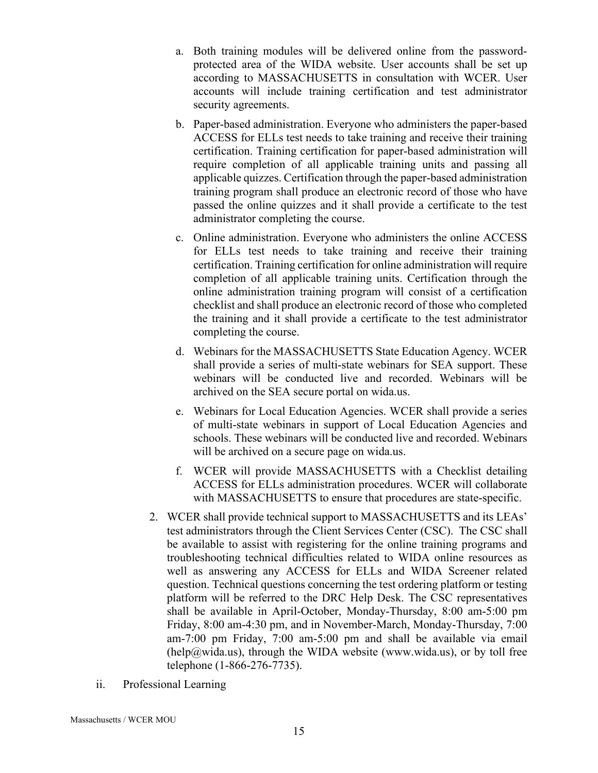- a. Both training modules will be delivered online from the passwordprotected area of the WIDA website. User accounts shall be set up according to MASSACHUSETTS in consultation with WCER. User accounts will include training certification and test administrator security agreements.
- b. Paper-based administration. Everyone who administers the paper-based ACCESS for ELLs test needs to take training and receive their training certification. Training certification for paper-based administration will require completion of all applicable training units and passing all applicable quizzes. Certification through the paper-based administration training program shall produce an electronic record of those who have passed the online quizzes and it shall provide a certificate to the test administrator completing the course.
- c. Online administration. Everyone who administers the online ACCESS for ELLs test needs to take training and receive their training certification. Training certification for online administration will require completion of all applicable training units. Certification through the online administration training program will consist of a certification checklist and shall produce an electronic record of those who completed the training and it shall provide a certificate to the test administrator completing the course.
- d. Webinars for the MASSACHUSETTS State Education Agency. WCER shall provide a series of multi-state webinars for SEA support. These webinars will be conducted live and recorded. Webinars will be archived on the SEA secure portal on wida.us.
- e. Webinars for Local Education Agencies. WCER shall provide a series of multi-state webinars in support of Local Education Agencies and schools. These webinars will be conducted live and recorded. Webinars will be archived on a secure page on wida.us.
- f. WCER will provide MASSACHUSETTS with a Checklist detailing ACCESS for ELLs administration procedures. WCER will collaborate with MASSACHUSETTS to ensure that procedures are state-specific.
- 2. WCER shall provide technical support to MASSACHUSETTS and its LEAs' test administrators through the Client Services Center (CSC). The CSC shall be available to assist with registering for the online training programs and troubleshooting technical difficulties related to WIDA online resources as well as answering any ACCESS for ELLs and WIDA Screener related question. Technical questions concerning the test ordering platform or testing platform will be referred to the DRC Help Desk. The CSC representatives shall be available in April-October, Monday-Thursday, 8:00 am-5:00 pm Friday, 8:00 am-4:30 pm, and in November-March, Monday-Thursday, 7:00 am-7:00 pm Friday, 7:00 am-5:00 pm and shall be available via email  $(help@wida,us)$ , through the WIDA website (www.wida.us), or by toll free telephone (1-866-276-7735).
- ii. Professional Learning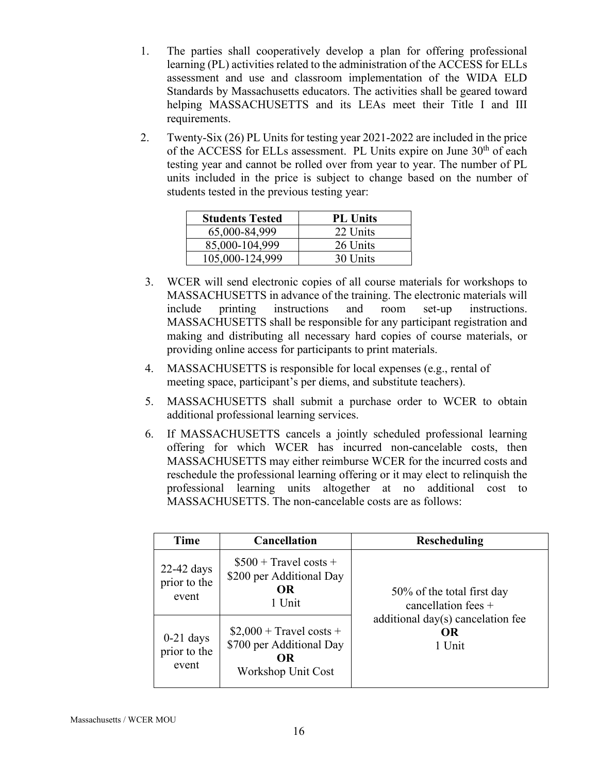- 1. The parties shall cooperatively develop a plan for offering professional learning (PL) activities related to the administration of the ACCESS for ELLs assessment and use and classroom implementation of the WIDA ELD Standards by Massachusetts educators. The activities shall be geared toward helping MASSACHUSETTS and its LEAs meet their Title I and III requirements.
- 2. Twenty-Six (26) PL Units for testing year 2021-2022 are included in the price of the ACCESS for ELLs assessment. PL Units expire on June 30<sup>th</sup> of each testing year and cannot be rolled over from year to year. The number of PL units included in the price is subject to change based on the number of students tested in the previous testing year:

| <b>Students Tested</b> | <b>PL Units</b> |
|------------------------|-----------------|
| 65,000-84,999          | 22 Units        |
| 85,000-104,999         | 26 Units        |
| 105,000-124,999        | 30 Units        |

- 3. WCER will send electronic copies of all course materials for workshops to MASSACHUSETTS in advance of the training. The electronic materials will include printing instructions and room set-up instructions. MASSACHUSETTS shall be responsible for any participant registration and making and distributing all necessary hard copies of course materials, or providing online access for participants to print materials.
- 4. MASSACHUSETTS is responsible for local expenses (e.g., rental of meeting space, participant's per diems, and substitute teachers).
- 5. MASSACHUSETTS shall submit a purchase order to WCER to obtain additional professional learning services.
- 6. If MASSACHUSETTS cancels a jointly scheduled professional learning offering for which WCER has incurred non-cancelable costs, then MASSACHUSETTS may either reimburse WCER for the incurred costs and reschedule the professional learning offering or it may elect to relinquish the professional learning units altogether at no additional cost to MASSACHUSETTS. The non-cancelable costs are as follows:

| Time                                  | <b>Cancellation</b>                                                               | <b>Rescheduling</b>                                                                                               |
|---------------------------------------|-----------------------------------------------------------------------------------|-------------------------------------------------------------------------------------------------------------------|
| $22-42$ days<br>prior to the<br>event | $$500 + Travel costs +$<br>\$200 per Additional Day<br>OR.<br>1 Unit              | 50% of the total first day<br>cancellation fees $+$<br>additional $day(s)$ cancelation fee<br><b>OR</b><br>1 Unit |
| $0-21$ days<br>prior to the<br>event  | $$2,000 + Travel costs +$<br>\$700 per Additional Day<br>OR<br>Workshop Unit Cost |                                                                                                                   |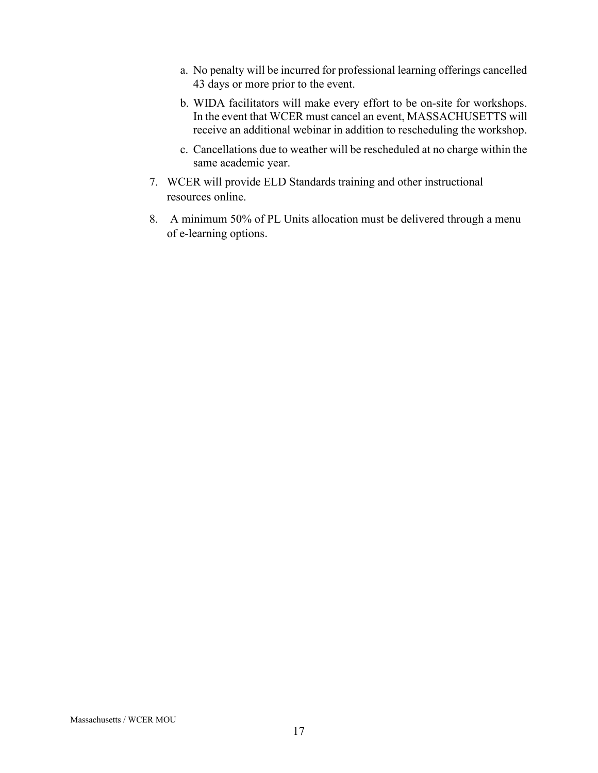- a. No penalty will be incurred for professional learning offerings cancelled 43 days or more prior to the event.
- b. WIDA facilitators will make every effort to be on-site for workshops. In the event that WCER must cancel an event, MASSACHUSETTS will receive an additional webinar in addition to rescheduling the workshop.
- c. Cancellations due to weather will be rescheduled at no charge within the same academic year.
- 7. WCER will provide ELD Standards training and other instructional resources online.
- 8. A minimum 50% of PL Units allocation must be delivered through a menu of e-learning options.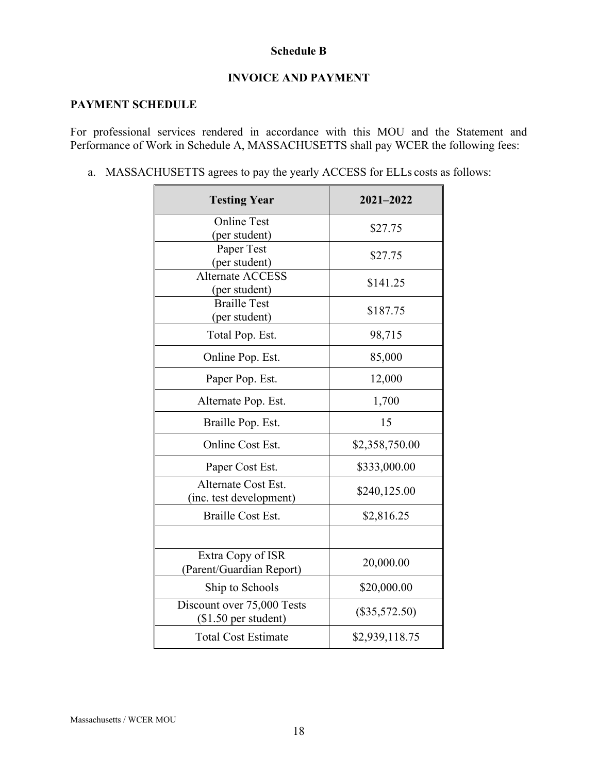### **Schedule B**

### **INVOICE AND PAYMENT**

## **PAYMENT SCHEDULE**

For professional services rendered in accordance with this MOU and the Statement and Performance of Work in Schedule A, MASSACHUSETTS shall pay WCER the following fees:

a. MASSACHUSETTS agrees to pay the yearly ACCESS for ELLs costs as follows:

| <b>Testing Year</b>                                                     | 2021-2022       |
|-------------------------------------------------------------------------|-----------------|
| <b>Online Test</b><br>(per student)                                     | \$27.75         |
| Paper Test<br>(per student)<br><b>Alternate ACCESS</b><br>(per student) | \$27.75         |
|                                                                         | \$141.25        |
| <b>Braille Test</b><br>(per student)                                    | \$187.75        |
| Total Pop. Est.                                                         | 98,715          |
| Online Pop. Est.                                                        | 85,000          |
| Paper Pop. Est.                                                         | 12,000          |
| Alternate Pop. Est.                                                     | 1,700           |
| Braille Pop. Est.                                                       | 15              |
| Online Cost Est.                                                        | \$2,358,750.00  |
| Paper Cost Est.                                                         | \$333,000.00    |
| Alternate Cost Est.<br>(inc. test development)                          | \$240,125.00    |
| <b>Braille Cost Est.</b>                                                | \$2,816.25      |
|                                                                         |                 |
| Extra Copy of ISR<br>(Parent/Guardian Report)                           | 20,000.00       |
| Ship to Schools                                                         | \$20,000.00     |
| Discount over 75,000 Tests<br>$($1.50$ per student)                     | $(\$35,572.50)$ |
| <b>Total Cost Estimate</b>                                              | \$2,939,118.75  |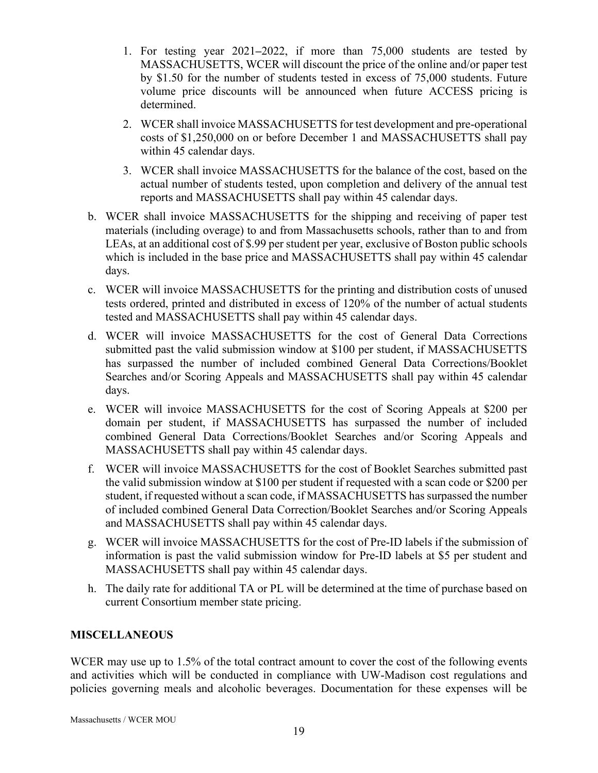- 1. For testing year 2021**‒**2022, if more than 75,000 students are tested by MASSACHUSETTS, WCER will discount the price of the online and/or paper test by \$1.50 for the number of students tested in excess of 75,000 students. Future volume price discounts will be announced when future ACCESS pricing is determined.
- 2. WCER shall invoice MASSACHUSETTS for test development and pre-operational costs of \$1,250,000 on or before December 1 and MASSACHUSETTS shall pay within 45 calendar days.
- 3. WCER shall invoice MASSACHUSETTS for the balance of the cost, based on the actual number of students tested, upon completion and delivery of the annual test reports and MASSACHUSETTS shall pay within 45 calendar days.
- b. WCER shall invoice MASSACHUSETTS for the shipping and receiving of paper test materials (including overage) to and from Massachusetts schools, rather than to and from LEAs, at an additional cost of \$.99 per student per year, exclusive of Boston public schools which is included in the base price and MASSACHUSETTS shall pay within 45 calendar days.
- c. WCER will invoice MASSACHUSETTS for the printing and distribution costs of unused tests ordered, printed and distributed in excess of 120% of the number of actual students tested and MASSACHUSETTS shall pay within 45 calendar days.
- d. WCER will invoice MASSACHUSETTS for the cost of General Data Corrections submitted past the valid submission window at \$100 per student, if MASSACHUSETTS has surpassed the number of included combined General Data Corrections/Booklet Searches and/or Scoring Appeals and MASSACHUSETTS shall pay within 45 calendar days.
- e. WCER will invoice MASSACHUSETTS for the cost of Scoring Appeals at \$200 per domain per student, if MASSACHUSETTS has surpassed the number of included combined General Data Corrections/Booklet Searches and/or Scoring Appeals and MASSACHUSETTS shall pay within 45 calendar days.
- f. WCER will invoice MASSACHUSETTS for the cost of Booklet Searches submitted past the valid submission window at \$100 per student if requested with a scan code or \$200 per student, if requested without a scan code, if MASSACHUSETTS has surpassed the number of included combined General Data Correction/Booklet Searches and/or Scoring Appeals and MASSACHUSETTS shall pay within 45 calendar days.
- g. WCER will invoice MASSACHUSETTS for the cost of Pre-ID labels if the submission of information is past the valid submission window for Pre-ID labels at \$5 per student and MASSACHUSETTS shall pay within 45 calendar days.
- h. The daily rate for additional TA or PL will be determined at the time of purchase based on current Consortium member state pricing.

## **MISCELLANEOUS**

WCER may use up to 1.5% of the total contract amount to cover the cost of the following events and activities which will be conducted in compliance with UW-Madison cost regulations and policies governing meals and alcoholic beverages. Documentation for these expenses will be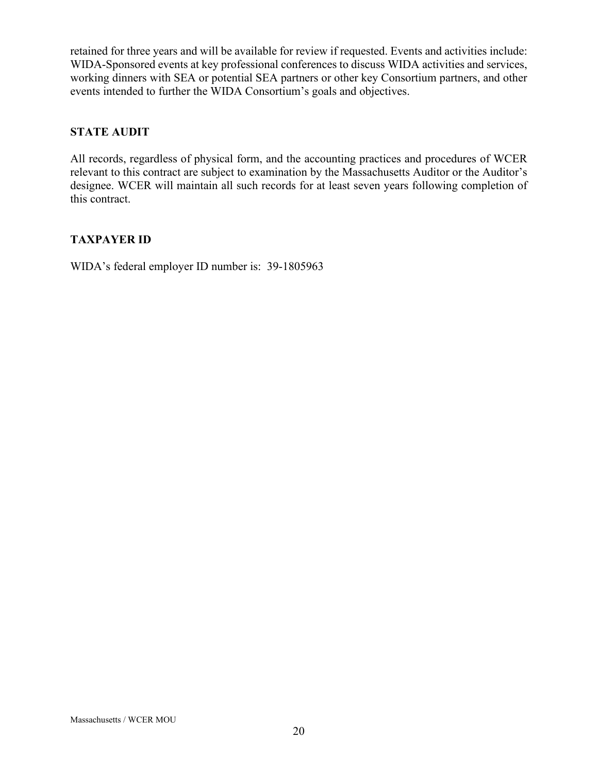retained for three years and will be available for review if requested. Events and activities include: WIDA-Sponsored events at key professional conferences to discuss WIDA activities and services, working dinners with SEA or potential SEA partners or other key Consortium partners, and other events intended to further the WIDA Consortium's goals and objectives.

# **STATE AUDIT**

All records, regardless of physical form, and the accounting practices and procedures of WCER relevant to this contract are subject to examination by the Massachusetts Auditor or the Auditor's designee. WCER will maintain all such records for at least seven years following completion of this contract.

# **TAXPAYER ID**

WIDA's federal employer ID number is: 39-1805963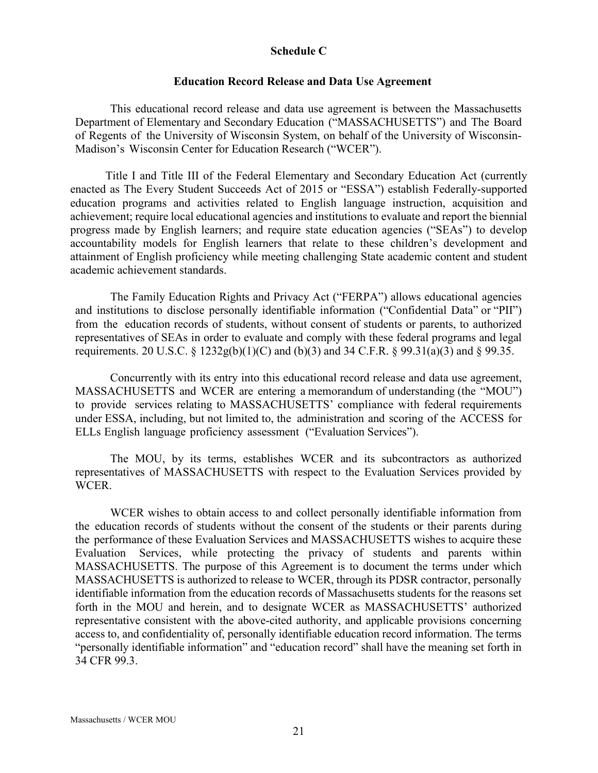### **Schedule C**

#### **Education Record Release and Data Use Agreement**

This educational record release and data use agreement is between the Massachusetts Department of Elementary and Secondary Education ("MASSACHUSETTS") and The Board of Regents of the University of Wisconsin System, on behalf of the University of Wisconsin-Madison's Wisconsin Center for Education Research ("WCER").

Title I and Title III of the Federal Elementary and Secondary Education Act (currently enacted as The Every Student Succeeds Act of 2015 or "ESSA") establish Federally-supported education programs and activities related to English language instruction, acquisition and achievement; require local educational agencies and institutions to evaluate and report the biennial progress made by English learners; and require state education agencies ("SEAs") to develop accountability models for English learners that relate to these children's development and attainment of English proficiency while meeting challenging State academic content and student academic achievement standards.

The Family Education Rights and Privacy Act ("FERPA") allows educational agencies and institutions to disclose personally identifiable information ("Confidential Data" or "PII") from the education records of students, without consent of students or parents, to authorized representatives of SEAs in order to evaluate and comply with these federal programs and legal requirements. 20 U.S.C. § 1232g(b)(1)(C) and (b)(3) and 34 C.F.R. § 99.31(a)(3) and § 99.35.

Concurrently with its entry into this educational record release and data use agreement, MASSACHUSETTS and WCER are entering a memorandum of understanding (the "MOU") to provide services relating to MASSACHUSETTS' compliance with federal requirements under ESSA, including, but not limited to, the administration and scoring of the ACCESS for ELLs English language proficiency assessment ("Evaluation Services").

The MOU, by its terms, establishes WCER and its subcontractors as authorized representatives of MASSACHUSETTS with respect to the Evaluation Services provided by WCER.

WCER wishes to obtain access to and collect personally identifiable information from the education records of students without the consent of the students or their parents during the performance of these Evaluation Services and MASSACHUSETTS wishes to acquire these Evaluation Services, while protecting the privacy of students and parents within MASSACHUSETTS. The purpose of this Agreement is to document the terms under which MASSACHUSETTS is authorized to release to WCER, through its PDSR contractor, personally identifiable information from the education records of Massachusetts students for the reasons set forth in the MOU and herein, and to designate WCER as MASSACHUSETTS' authorized representative consistent with the above-cited authority, and applicable provisions concerning access to, and confidentiality of, personally identifiable education record information. The terms "personally identifiable information" and "education record" shall have the meaning set forth in 34 CFR 99.3.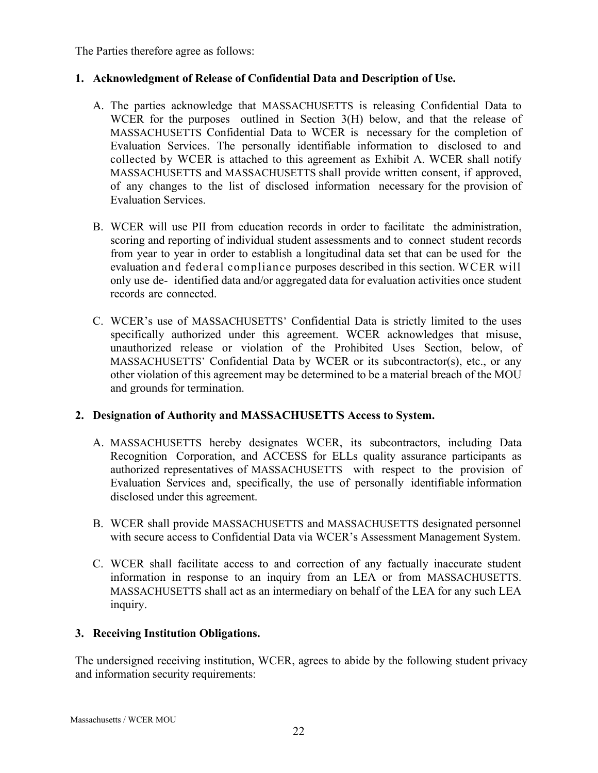The Parties therefore agree as follows:

## **1. Acknowledgment of Release of Confidential Data and Description of Use.**

- A. The parties acknowledge that MASSACHUSETTS is releasing Confidential Data to WCER for the purposes outlined in Section 3(H) below, and that the release of MASSACHUSETTS Confidential Data to WCER is necessary for the completion of Evaluation Services. The personally identifiable information to disclosed to and collected by WCER is attached to this agreement as Exhibit A. WCER shall notify MASSACHUSETTS and MASSACHUSETTS shall provide written consent, if approved, of any changes to the list of disclosed information necessary for the provision of Evaluation Services.
- B. WCER will use PII from education records in order to facilitate the administration, scoring and reporting of individual student assessments and to connect student records from year to year in order to establish a longitudinal data set that can be used for the evaluation and federal compliance purposes described in this section. WCER will only use de- identified data and/or aggregated data for evaluation activities once student records are connected.
- C. WCER's use of MASSACHUSETTS' Confidential Data is strictly limited to the uses specifically authorized under this agreement. WCER acknowledges that misuse, unauthorized release or violation of the Prohibited Uses Section, below, of MASSACHUSETTS' Confidential Data by WCER or its subcontractor(s), etc., or any other violation of this agreement may be determined to be a material breach of the MOU and grounds for termination.

## **2. Designation of Authority and MASSACHUSETTS Access to System.**

- A. MASSACHUSETTS hereby designates WCER, its subcontractors, including Data Recognition Corporation, and ACCESS for ELLs quality assurance participants as authorized representatives of MASSACHUSETTS with respect to the provision of Evaluation Services and, specifically, the use of personally identifiable information disclosed under this agreement.
- B. WCER shall provide MASSACHUSETTS and MASSACHUSETTS designated personnel with secure access to Confidential Data via WCER's Assessment Management System.
- C. WCER shall facilitate access to and correction of any factually inaccurate student information in response to an inquiry from an LEA or from MASSACHUSETTS. MASSACHUSETTS shall act as an intermediary on behalf of the LEA for any such LEA inquiry.

# **3. Receiving Institution Obligations.**

The undersigned receiving institution, WCER, agrees to abide by the following student privacy and information security requirements: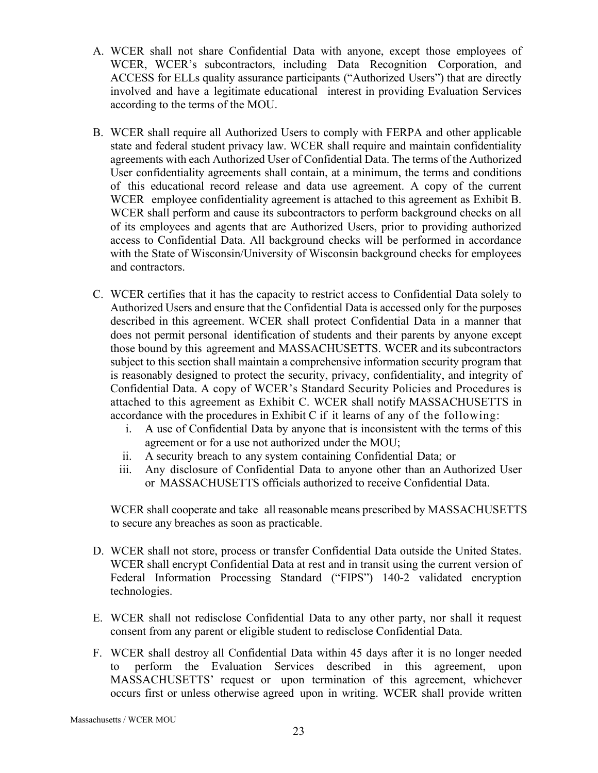- A. WCER shall not share Confidential Data with anyone, except those employees of WCER, WCER's subcontractors, including Data Recognition Corporation, and ACCESS for ELLs quality assurance participants ("Authorized Users") that are directly involved and have a legitimate educational interest in providing Evaluation Services according to the terms of the MOU.
- B. WCER shall require all Authorized Users to comply with FERPA and other applicable state and federal student privacy law. WCER shall require and maintain confidentiality agreements with each Authorized User of Confidential Data. The terms of the Authorized User confidentiality agreements shall contain, at a minimum, the terms and conditions of this educational record release and data use agreement. A copy of the current WCER employee confidentiality agreement is attached to this agreement as Exhibit B. WCER shall perform and cause its subcontractors to perform background checks on all of its employees and agents that are Authorized Users, prior to providing authorized access to Confidential Data. All background checks will be performed in accordance with the State of Wisconsin/University of Wisconsin background checks for employees and contractors.
- C. WCER certifies that it has the capacity to restrict access to Confidential Data solely to Authorized Users and ensure that the Confidential Data is accessed only for the purposes described in this agreement. WCER shall protect Confidential Data in a manner that does not permit personal identification of students and their parents by anyone except those bound by this agreement and MASSACHUSETTS. WCER and its subcontractors subject to this section shall maintain a comprehensive information security program that is reasonably designed to protect the security, privacy, confidentiality, and integrity of Confidential Data. A copy of WCER's Standard Security Policies and Procedures is attached to this agreement as Exhibit C. WCER shall notify MASSACHUSETTS in accordance with the procedures in Exhibit C if it learns of any of the following:
	- i. A use of Confidential Data by anyone that is inconsistent with the terms of this agreement or for a use not authorized under the MOU;
	- ii. A security breach to any system containing Confidential Data; or
	- iii. Any disclosure of Confidential Data to anyone other than an Authorized User or MASSACHUSETTS officials authorized to receive Confidential Data.

WCER shall cooperate and take all reasonable means prescribed by MASSACHUSETTS to secure any breaches as soon as practicable.

- D. WCER shall not store, process or transfer Confidential Data outside the United States. WCER shall encrypt Confidential Data at rest and in transit using the current version of Federal Information Processing Standard ("FIPS") 140-2 validated encryption technologies.
- E. WCER shall not redisclose Confidential Data to any other party, nor shall it request consent from any parent or eligible student to redisclose Confidential Data.
- F. WCER shall destroy all Confidential Data within 45 days after it is no longer needed to perform the Evaluation Services described in this agreement, upon MASSACHUSETTS' request or upon termination of this agreement, whichever occurs first or unless otherwise agreed upon in writing. WCER shall provide written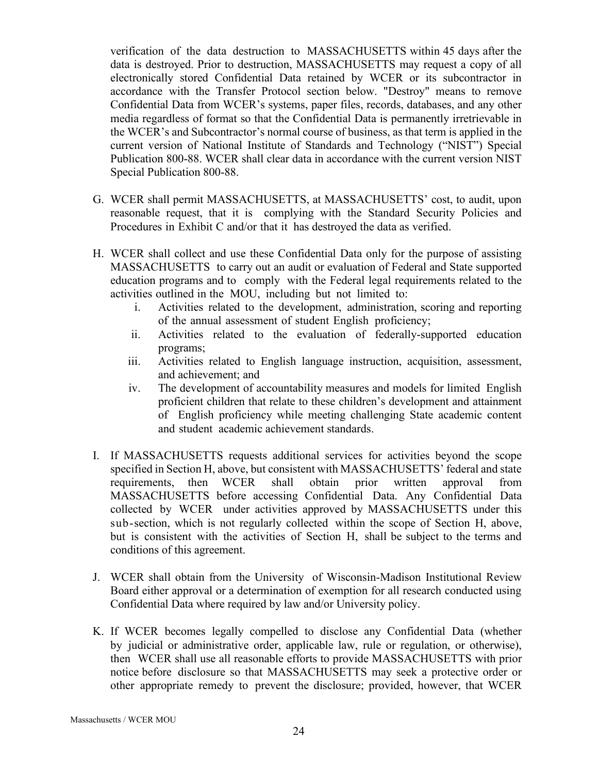verification of the data destruction to MASSACHUSETTS within 45 days after the data is destroyed. Prior to destruction, MASSACHUSETTS may request a copy of all electronically stored Confidential Data retained by WCER or its subcontractor in accordance with the Transfer Protocol section below. "Destroy" means to remove Confidential Data from WCER's systems, paper files, records, databases, and any other media regardless of format so that the Confidential Data is permanently irretrievable in the WCER's and Subcontractor's normal course of business, as that term is applied in the current version of National Institute of Standards and Technology ("NIST") Special Publication 800-88. WCER shall clear data in accordance with the current version NIST Special Publication 800-88.

- G. WCER shall permit MASSACHUSETTS, at MASSACHUSETTS' cost, to audit, upon reasonable request, that it is complying with the Standard Security Policies and Procedures in Exhibit C and/or that it has destroyed the data as verified.
- H. WCER shall collect and use these Confidential Data only for the purpose of assisting MASSACHUSETTS to carry out an audit or evaluation of Federal and State supported education programs and to comply with the Federal legal requirements related to the activities outlined in the MOU, including but not limited to:
	- i. Activities related to the development, administration, scoring and reporting of the annual assessment of student English proficiency;
	- ii. Activities related to the evaluation of federally-supported education programs;
	- iii. Activities related to English language instruction, acquisition, assessment, and achievement; and
	- iv. The development of accountability measures and models for limited English proficient children that relate to these children's development and attainment of English proficiency while meeting challenging State academic content and student academic achievement standards.
- I. If MASSACHUSETTS requests additional services for activities beyond the scope specified in Section H, above, but consistent with MASSACHUSETTS' federal and state requirements, then WCER shall obtain prior written approval from MASSACHUSETTS before accessing Confidential Data. Any Confidential Data collected by WCER under activities approved by MASSACHUSETTS under this sub-section, which is not regularly collected within the scope of Section H, above, but is consistent with the activities of Section H, shall be subject to the terms and conditions of this agreement.
- J. WCER shall obtain from the University of Wisconsin-Madison Institutional Review Board either approval or a determination of exemption for all research conducted using Confidential Data where required by law and/or University policy.
- K. If WCER becomes legally compelled to disclose any Confidential Data (whether by judicial or administrative order, applicable law, rule or regulation, or otherwise), then WCER shall use all reasonable efforts to provide MASSACHUSETTS with prior notice before disclosure so that MASSACHUSETTS may seek a protective order or other appropriate remedy to prevent the disclosure; provided, however, that WCER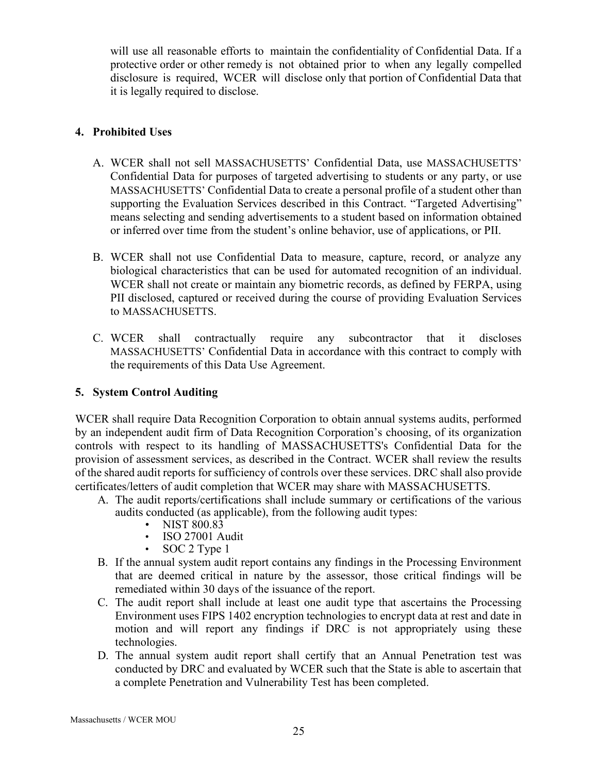will use all reasonable efforts to maintain the confidentiality of Confidential Data. If a protective order or other remedy is not obtained prior to when any legally compelled disclosure is required, WCER will disclose only that portion of Confidential Data that it is legally required to disclose.

## **4. Prohibited Uses**

- A. WCER shall not sell MASSACHUSETTS' Confidential Data, use MASSACHUSETTS' Confidential Data for purposes of targeted advertising to students or any party, or use MASSACHUSETTS' Confidential Data to create a personal profile of a student other than supporting the Evaluation Services described in this Contract. "Targeted Advertising" means selecting and sending advertisements to a student based on information obtained or inferred over time from the student's online behavior, use of applications, or PII.
- B. WCER shall not use Confidential Data to measure, capture, record, or analyze any biological characteristics that can be used for automated recognition of an individual. WCER shall not create or maintain any biometric records, as defined by FERPA, using PII disclosed, captured or received during the course of providing Evaluation Services to MASSACHUSETTS.
- C. WCER shall contractually require any subcontractor that it discloses MASSACHUSETTS' Confidential Data in accordance with this contract to comply with the requirements of this Data Use Agreement.

# **5. System Control Auditing**

WCER shall require Data Recognition Corporation to obtain annual systems audits, performed by an independent audit firm of Data Recognition Corporation's choosing, of its organization controls with respect to its handling of MASSACHUSETTS's Confidential Data for the provision of assessment services, as described in the Contract. WCER shall review the results of the shared audit reports for sufficiency of controls over these services. DRC shall also provide certificates/letters of audit completion that WCER may share with MASSACHUSETTS.

- A. The audit reports/certifications shall include summary or certifications of the various audits conducted (as applicable), from the following audit types:
	- NIST 800.83<br>• ISO 27001 A
	- ISO 27001 Audit
	- SOC 2 Type 1
- B. If the annual system audit report contains any findings in the Processing Environment that are deemed critical in nature by the assessor, those critical findings will be remediated within 30 days of the issuance of the report.
- C. The audit report shall include at least one audit type that ascertains the Processing Environment uses FIPS 1402 encryption technologies to encrypt data at rest and date in motion and will report any findings if DRC is not appropriately using these technologies.
- D. The annual system audit report shall certify that an Annual Penetration test was conducted by DRC and evaluated by WCER such that the State is able to ascertain that a complete Penetration and Vulnerability Test has been completed.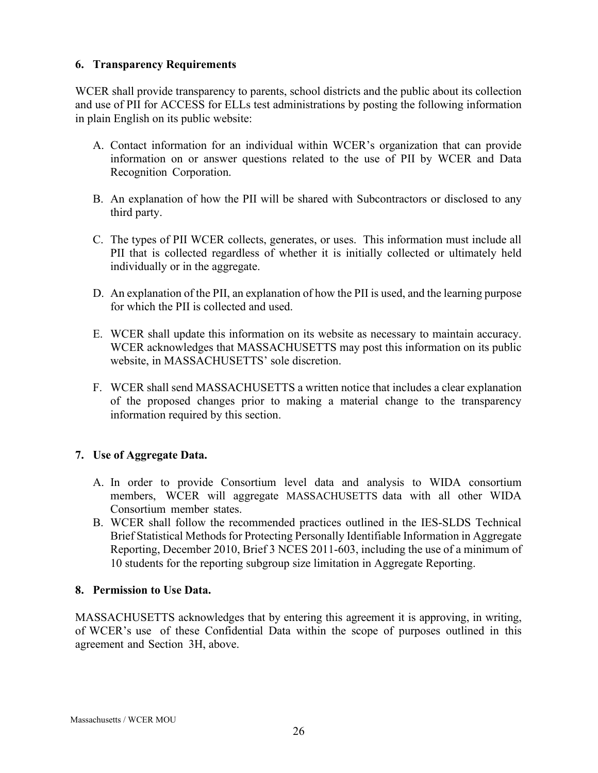### **6. Transparency Requirements**

WCER shall provide transparency to parents, school districts and the public about its collection and use of PII for ACCESS for ELLs test administrations by posting the following information in plain English on its public website:

- A. Contact information for an individual within WCER's organization that can provide information on or answer questions related to the use of PII by WCER and Data Recognition Corporation.
- B. An explanation of how the PII will be shared with Subcontractors or disclosed to any third party.
- C. The types of PII WCER collects, generates, or uses. This information must include all PII that is collected regardless of whether it is initially collected or ultimately held individually or in the aggregate.
- D. An explanation of the PII, an explanation of how the PII is used, and the learning purpose for which the PII is collected and used.
- E. WCER shall update this information on its website as necessary to maintain accuracy. WCER acknowledges that MASSACHUSETTS may post this information on its public website, in MASSACHUSETTS' sole discretion.
- F. WCER shall send MASSACHUSETTS a written notice that includes a clear explanation of the proposed changes prior to making a material change to the transparency information required by this section.

## **7. Use of Aggregate Data.**

- A. In order to provide Consortium level data and analysis to WIDA consortium members, WCER will aggregate MASSACHUSETTS data with all other WIDA Consortium member states.
- B. WCER shall follow the recommended practices outlined in the IES-SLDS Technical Brief Statistical Methods for Protecting Personally Identifiable Information in Aggregate Reporting, December 2010, Brief 3 NCES 2011-603, including the use of a minimum of 10 students for the reporting subgroup size limitation in Aggregate Reporting.

### **8. Permission to Use Data.**

MASSACHUSETTS acknowledges that by entering this agreement it is approving, in writing, of WCER's use of these Confidential Data within the scope of purposes outlined in this agreement and Section 3H, above.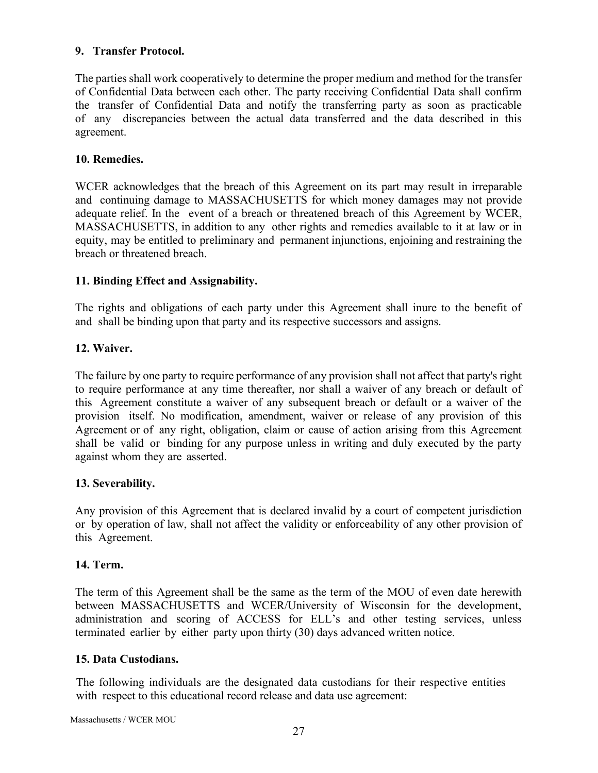## **9. Transfer Protocol.**

The parties shall work cooperatively to determine the proper medium and method for the transfer of Confidential Data between each other. The party receiving Confidential Data shall confirm the transfer of Confidential Data and notify the transferring party as soon as practicable of any discrepancies between the actual data transferred and the data described in this agreement.

## **10. Remedies.**

WCER acknowledges that the breach of this Agreement on its part may result in irreparable and continuing damage to MASSACHUSETTS for which money damages may not provide adequate relief. In the event of a breach or threatened breach of this Agreement by WCER, MASSACHUSETTS, in addition to any other rights and remedies available to it at law or in equity, may be entitled to preliminary and permanent injunctions, enjoining and restraining the breach or threatened breach.

# **11. Binding Effect and Assignability.**

The rights and obligations of each party under this Agreement shall inure to the benefit of and shall be binding upon that party and its respective successors and assigns.

# **12. Waiver.**

The failure by one party to require performance of any provision shall not affect that party's right to require performance at any time thereafter, nor shall a waiver of any breach or default of this Agreement constitute a waiver of any subsequent breach or default or a waiver of the provision itself. No modification, amendment, waiver or release of any provision of this Agreement or of any right, obligation, claim or cause of action arising from this Agreement shall be valid or binding for any purpose unless in writing and duly executed by the party against whom they are asserted.

## **13. Severability.**

Any provision of this Agreement that is declared invalid by a court of competent jurisdiction or by operation of law, shall not affect the validity or enforceability of any other provision of this Agreement.

## **14. Term.**

The term of this Agreement shall be the same as the term of the MOU of even date herewith between MASSACHUSETTS and WCER/University of Wisconsin for the development, administration and scoring of ACCESS for ELL's and other testing services, unless terminated earlier by either party upon thirty (30) days advanced written notice.

## **15. Data Custodians.**

The following individuals are the designated data custodians for their respective entities with respect to this educational record release and data use agreement:

Massachusetts / WCER MOU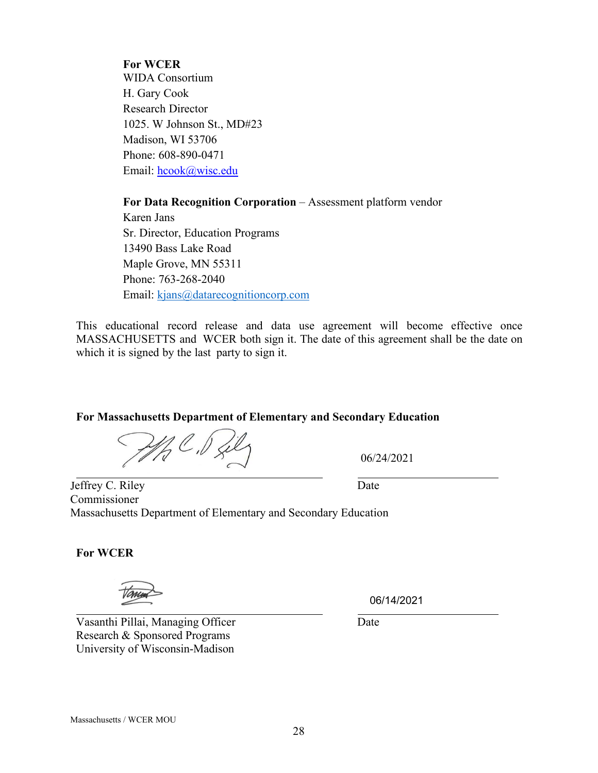### **For WCER**

WIDA Consortium H. Gary Cook Research Director 1025. W Johnson St., MD#23 Madison, WI 53706 Phone: 608-890-0471 Email: hcook@wisc.edu

**For Data Recognition Corporation** – Assessment platform vendor

Karen Jans Sr. Director, Education Programs 13490 Bass Lake Road Maple Grove, MN 55311 Phone: 763-268-2040 Email: kjans@datarecognitioncorp.com

This educational record release and data use agreement will become effective once MASSACHUSETTS and WCER both sign it. The date of this agreement shall be the date on which it is signed by the last party to sign it.

#### **For Massachusetts Department of Elementary and Secondary Education**

 $\mathscr{U}_q$   $\mathscr{C}$  ,  $\mathscr{V}_s$ 

06/24/2021

Jeffrey C. Riley Date Commissioner Massachusetts Department of Elementary and Secondary Education

**For WCER**

Vasanthi Pillai, Managing Officer Date Research & Sponsored Programs University of Wisconsin-Madison

06/14/2021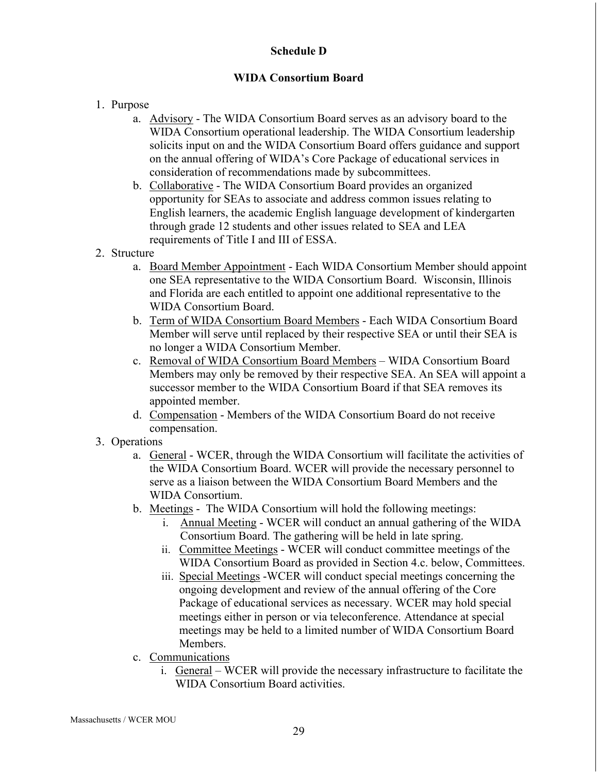## **Schedule D**

# **WIDA Consortium Board**

- 1. Purpose
	- a. Advisory The WIDA Consortium Board serves as an advisory board to the WIDA Consortium operational leadership. The WIDA Consortium leadership solicits input on and the WIDA Consortium Board offers guidance and support on the annual offering of WIDA's Core Package of educational services in consideration of recommendations made by subcommittees.
	- b. Collaborative The WIDA Consortium Board provides an organized opportunity for SEAs to associate and address common issues relating to English learners, the academic English language development of kindergarten through grade 12 students and other issues related to SEA and LEA requirements of Title I and III of ESSA.
- 2. Structure
	- a. Board Member Appointment Each WIDA Consortium Member should appoint one SEA representative to the WIDA Consortium Board. Wisconsin, Illinois and Florida are each entitled to appoint one additional representative to the WIDA Consortium Board.
	- b. Term of WIDA Consortium Board Members Each WIDA Consortium Board Member will serve until replaced by their respective SEA or until their SEA is no longer a WIDA Consortium Member.
	- c. Removal of WIDA Consortium Board Members WIDA Consortium Board Members may only be removed by their respective SEA. An SEA will appoint a successor member to the WIDA Consortium Board if that SEA removes its appointed member.
	- d. Compensation Members of the WIDA Consortium Board do not receive compensation.
- 3. Operations
	- a. General WCER, through the WIDA Consortium will facilitate the activities of the WIDA Consortium Board. WCER will provide the necessary personnel to serve as a liaison between the WIDA Consortium Board Members and the WIDA Consortium.
	- b. Meetings The WIDA Consortium will hold the following meetings:
		- i. Annual Meeting WCER will conduct an annual gathering of the WIDA Consortium Board. The gathering will be held in late spring.
		- ii. Committee Meetings WCER will conduct committee meetings of the WIDA Consortium Board as provided in Section 4.c. below, Committees.
		- iii. Special Meetings -WCER will conduct special meetings concerning the ongoing development and review of the annual offering of the Core Package of educational services as necessary. WCER may hold special meetings either in person or via teleconference. Attendance at special meetings may be held to a limited number of WIDA Consortium Board Members.
	- c. Communications
		- i. General WCER will provide the necessary infrastructure to facilitate the WIDA Consortium Board activities.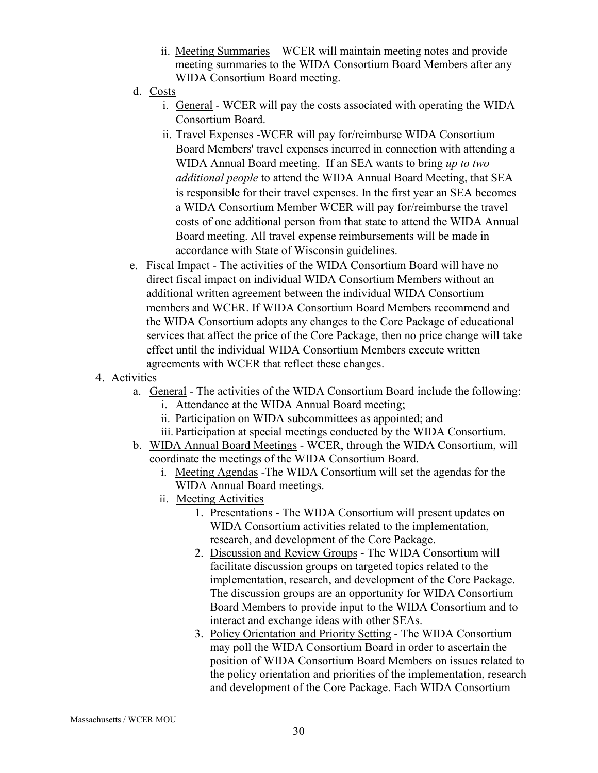- ii. Meeting Summaries WCER will maintain meeting notes and provide meeting summaries to the WIDA Consortium Board Members after any WIDA Consortium Board meeting.
- d. Costs
	- i. General WCER will pay the costs associated with operating the WIDA Consortium Board.
	- ii. Travel Expenses -WCER will pay for/reimburse WIDA Consortium Board Members' travel expenses incurred in connection with attending a WIDA Annual Board meeting. If an SEA wants to bring *up to two additional people* to attend the WIDA Annual Board Meeting, that SEA is responsible for their travel expenses. In the first year an SEA becomes a WIDA Consortium Member WCER will pay for/reimburse the travel costs of one additional person from that state to attend the WIDA Annual Board meeting. All travel expense reimbursements will be made in accordance with State of Wisconsin guidelines.
- e. Fiscal Impact The activities of the WIDA Consortium Board will have no direct fiscal impact on individual WIDA Consortium Members without an additional written agreement between the individual WIDA Consortium members and WCER. If WIDA Consortium Board Members recommend and the WIDA Consortium adopts any changes to the Core Package of educational services that affect the price of the Core Package, then no price change will take effect until the individual WIDA Consortium Members execute written agreements with WCER that reflect these changes.
- 4. Activities
	- a. General The activities of the WIDA Consortium Board include the following:
		- i. Attendance at the WIDA Annual Board meeting;
		- ii. Participation on WIDA subcommittees as appointed; and
		- iii. Participation at special meetings conducted by the WIDA Consortium.
	- b. WIDA Annual Board Meetings WCER, through the WIDA Consortium, will coordinate the meetings of the WIDA Consortium Board.
		- i. Meeting Agendas -The WIDA Consortium will set the agendas for the WIDA Annual Board meetings.
		- ii. Meeting Activities
			- 1. Presentations The WIDA Consortium will present updates on WIDA Consortium activities related to the implementation, research, and development of the Core Package.
			- 2. Discussion and Review Groups The WIDA Consortium will facilitate discussion groups on targeted topics related to the implementation, research, and development of the Core Package. The discussion groups are an opportunity for WIDA Consortium Board Members to provide input to the WIDA Consortium and to interact and exchange ideas with other SEAs.
			- 3. Policy Orientation and Priority Setting The WIDA Consortium may poll the WIDA Consortium Board in order to ascertain the position of WIDA Consortium Board Members on issues related to the policy orientation and priorities of the implementation, research and development of the Core Package. Each WIDA Consortium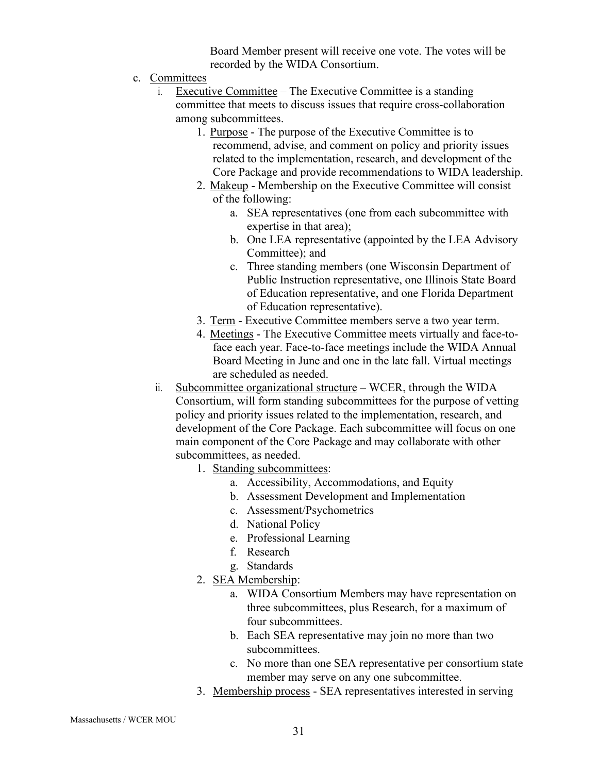Board Member present will receive one vote. The votes will be recorded by the WIDA Consortium.

- c. Committees
	- i. Executive Committee The Executive Committee is a standing committee that meets to discuss issues that require cross-collaboration among subcommittees.
		- 1. Purpose The purpose of the Executive Committee is to recommend, advise, and comment on policy and priority issues related to the implementation, research, and development of the Core Package and provide recommendations to WIDA leadership.
		- 2. Makeup Membership on the Executive Committee will consist of the following:
			- a. SEA representatives (one from each subcommittee with expertise in that area);
			- b. One LEA representative (appointed by the LEA Advisory Committee); and
			- c. Three standing members (one Wisconsin Department of Public Instruction representative, one Illinois State Board of Education representative, and one Florida Department of Education representative).
		- 3. Term Executive Committee members serve a two year term.
		- 4. Meetings The Executive Committee meets virtually and face-toface each year. Face-to-face meetings include the WIDA Annual Board Meeting in June and one in the late fall. Virtual meetings are scheduled as needed.
	- ii. Subcommittee organizational structure WCER, through the WIDA Consortium, will form standing subcommittees for the purpose of vetting policy and priority issues related to the implementation, research, and development of the Core Package. Each subcommittee will focus on one main component of the Core Package and may collaborate with other subcommittees, as needed.
		- 1. Standing subcommittees:
			- a. Accessibility, Accommodations, and Equity
			- b. Assessment Development and Implementation
			- c. Assessment/Psychometrics
			- d. National Policy
			- e. Professional Learning
			- f. Research
			- g. Standards
		- 2. SEA Membership:
			- a. WIDA Consortium Members may have representation on three subcommittees, plus Research, for a maximum of four subcommittees.
			- b. Each SEA representative may join no more than two subcommittees.
			- c. No more than one SEA representative per consortium state member may serve on any one subcommittee.
		- 3. Membership process SEA representatives interested in serving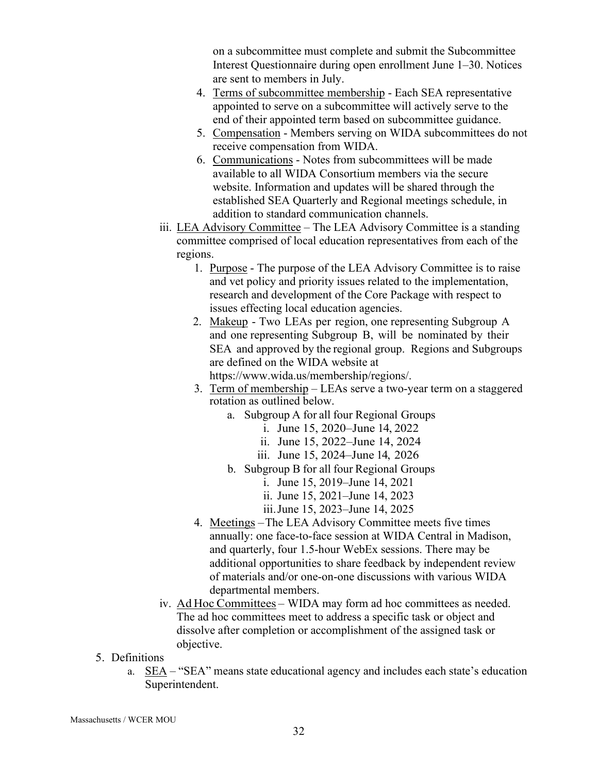on a subcommittee must complete and submit the Subcommittee Interest Questionnaire during open enrollment June 1–30. Notices are sent to members in July.

- 4. Terms of subcommittee membership Each SEA representative appointed to serve on a subcommittee will actively serve to the end of their appointed term based on subcommittee guidance.
- 5. Compensation Members serving on WIDA subcommittees do not receive compensation from WIDA.
- 6. Communications Notes from subcommittees will be made available to all WIDA Consortium members via the secure website. Information and updates will be shared through the established SEA Quarterly and Regional meetings schedule, in addition to standard communication channels.
- iii. LEA Advisory Committee The LEA Advisory Committee is a standing committee comprised of local education representatives from each of the regions.
	- 1. Purpose The purpose of the LEA Advisory Committee is to raise and vet policy and priority issues related to the implementation, research and development of the Core Package with respect to issues effecting local education agencies.
	- 2. Makeup Two LEAs per region, one representing Subgroup A and one representing Subgroup B, will be nominated by their SEA and approved by the regional group. Regions and Subgroups are defined on the WIDA website at https://www.wida.us/membership/regions/.
		-
	- 3. Term of membership LEAs serve a two-year term on a staggered rotation as outlined below.
		- a. Subgroup A for all four Regional Groups
			- i. June 15, 2020– June 14, 2022
			- ii. June 15, 2022–June 14, 2024
			- iii. June 15, 2024–June 14, 2026
		- b. Subgroup B for all four Regional Groups
			- i. June 15, 2019–June 14, 2021
			- ii. June 15, 2021–June 14, 2023
			- iii.June 15, 2023–June 14, 2025
	- 4. Meetings The LEA Advisory Committee meets five times annually: one face-to-face session at WIDA Central in Madison, and quarterly, four 1.5-hour WebEx sessions. There may be additional opportunities to share feedback by independent review of materials and/or one-on-one discussions with various WIDA departmental members.
- iv. Ad Hoc Committees WIDA may form ad hoc committees as needed. The ad hoc committees meet to address a specific task or object and dissolve after completion or accomplishment of the assigned task or objective.
- 5. Definitions
	- a. SEA "SEA" means state educational agency and includes each state's education Superintendent.